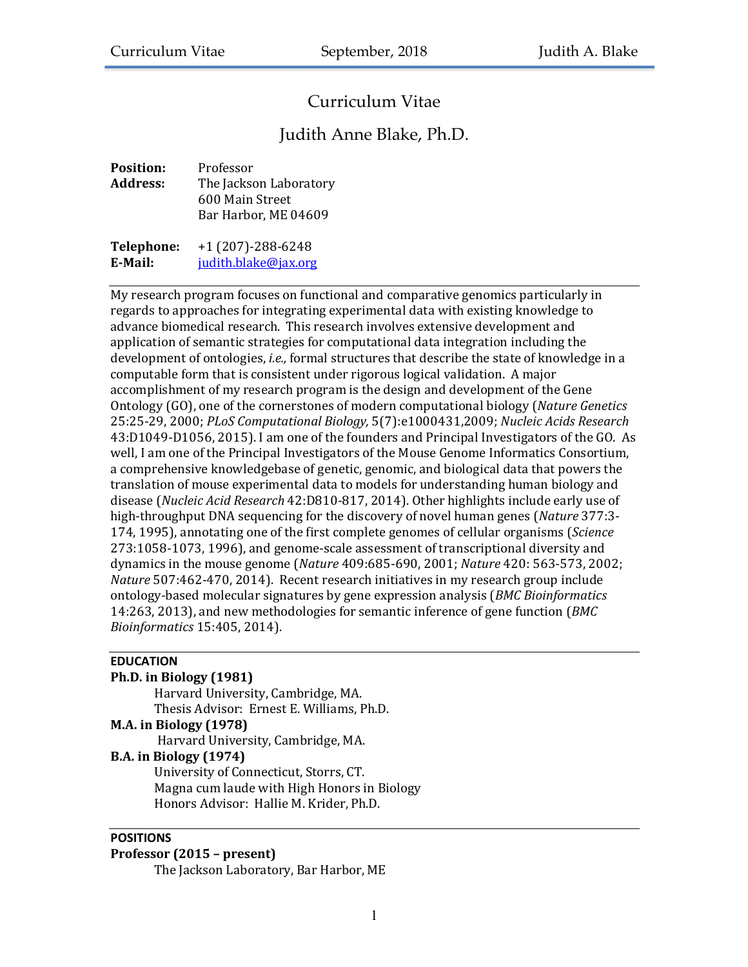# Curriculum Vitae

# Judith Anne Blake, Ph.D.

| <b>Position:</b> | Professor                               |
|------------------|-----------------------------------------|
| <b>Address:</b>  | The Jackson Laboratory                  |
|                  | 600 Main Street<br>Bar Harbor, ME 04609 |
| Telephone:       | $+1(207)-288-6248$                      |

**E-Mail:** judith.blake@jax.org

My research program focuses on functional and comparative genomics particularly in regards to approaches for integrating experimental data with existing knowledge to advance biomedical research. This research involves extensive development and application of semantic strategies for computational data integration including the development of ontologies, *i.e.*, formal structures that describe the state of knowledge in a computable form that is consistent under rigorous logical validation. A major accomplishment of my research program is the design and development of the Gene Ontology (GO), one of the cornerstones of modern computational biology (*Nature Genetics* 25:25-29, 2000; *PLoS Computational Biology,* 5(7):e1000431,2009; *Nucleic Acids Research* 43:D1049-D1056, 2015). I am one of the founders and Principal Investigators of the GO. As well, I am one of the Principal Investigators of the Mouse Genome Informatics Consortium, a comprehensive knowledgebase of genetic, genomic, and biological data that powers the translation of mouse experimental data to models for understanding human biology and disease (*Nucleic Acid Research* 42:D810-817, 2014). Other highlights include early use of high-throughput DNA sequencing for the discovery of novel human genes (Nature 377:3-174, 1995), annotating one of the first complete genomes of cellular organisms (*Science* 273:1058-1073, 1996), and genome-scale assessment of transcriptional diversity and dynamics in the mouse genome (*Nature* 409:685-690, 2001; *Nature* 420: 563-573, 2002; *Nature* 507:462-470, 2014). Recent research initiatives in my research group include ontology-based molecular signatures by gene expression analysis (*BMC Bioinformatics*  14:263, 2013), and new methodologies for semantic inference of gene function (*BMC Bioinformatics* 15:405, 2014).

# **EDUCATION**

#### **Ph.D.** in Biology (1981)

Harvard University, Cambridge, MA. Thesis Advisor: Ernest E. Williams, Ph.D. **M.A. in Biology (1978)** Harvard University, Cambridge, MA. **B.A.** in Biology (1974) University of Connecticut, Storrs, CT. Magna cum laude with High Honors in Biology

Honors Advisor: Hallie M. Krider, Ph.D.

# **POSITIONS**

#### **Professor (2015 – present)**

The Jackson Laboratory, Bar Harbor, ME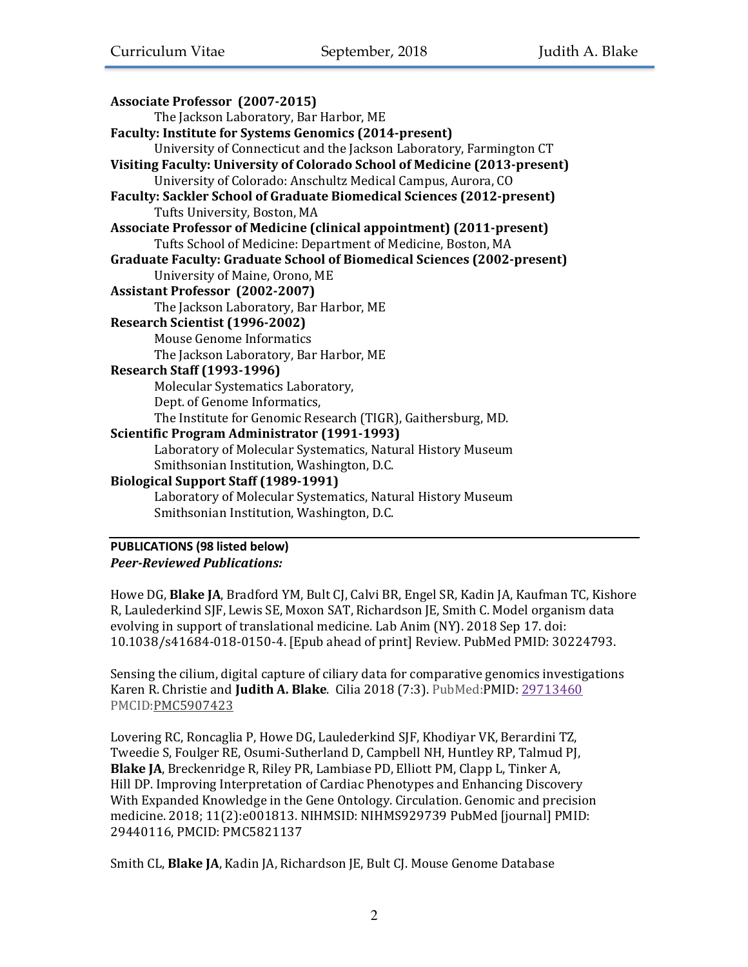| Associate Professor (2007-2015)                                            |
|----------------------------------------------------------------------------|
| The Jackson Laboratory, Bar Harbor, ME                                     |
| Faculty: Institute for Systems Genomics (2014-present)                     |
| University of Connecticut and the Jackson Laboratory, Farmington CT        |
| Visiting Faculty: University of Colorado School of Medicine (2013-present) |
| University of Colorado: Anschultz Medical Campus, Aurora, CO               |
| Faculty: Sackler School of Graduate Biomedical Sciences (2012-present)     |
| Tufts University, Boston, MA                                               |
| Associate Professor of Medicine (clinical appointment) (2011-present)      |
| Tufts School of Medicine: Department of Medicine, Boston, MA               |
| Graduate Faculty: Graduate School of Biomedical Sciences (2002-present)    |
| University of Maine, Orono, ME                                             |
| <b>Assistant Professor (2002-2007)</b>                                     |
| The Jackson Laboratory, Bar Harbor, ME                                     |
| Research Scientist (1996-2002)                                             |
| Mouse Genome Informatics                                                   |
| The Jackson Laboratory, Bar Harbor, ME                                     |
| <b>Research Staff (1993-1996)</b>                                          |
| Molecular Systematics Laboratory,                                          |
| Dept. of Genome Informatics,                                               |
| The Institute for Genomic Research (TIGR), Gaithersburg, MD.               |
| Scientific Program Administrator (1991-1993)                               |
| Laboratory of Molecular Systematics, Natural History Museum                |
| Smithsonian Institution, Washington, D.C.                                  |
| <b>Biological Support Staff (1989-1991)</b>                                |
| Laboratory of Molecular Systematics, Natural History Museum                |
| Smithsonian Institution, Washington, D.C.                                  |
|                                                                            |

# **PUBLICATIONS (98 listed below)** *Peer-Reviewed Publications:*

Howe DG, Blake JA, Bradford YM, Bult CJ, Calvi BR, Engel SR, Kadin JA, Kaufman TC, Kishore R, Laulederkind SJF, Lewis SE, Moxon SAT, Richardson JE, Smith C. Model organism data evolving in support of translational medicine. Lab Anim (NY). 2018 Sep 17. doi: 10.1038/s41684-018-0150-4. [Epub ahead of print] Review. PubMed PMID: 30224793.

Sensing the cilium, digital capture of ciliary data for comparative genomics investigations Karen R. Christie and Judith A. Blake. Cilia 2018 (7:3). PubMed:PMID: 29713460 PMCID:PMC5907423

Lovering RC, Roncaglia P, Howe DG, Laulederkind SJF, Khodiyar VK, Berardini TZ, Tweedie S, Foulger RE, Osumi-Sutherland D, Campbell NH, Huntley RP, Talmud PJ, **Blake JA**, Breckenridge R, Riley PR, Lambiase PD, Elliott PM, Clapp L, Tinker A, Hill DP. Improving Interpretation of Cardiac Phenotypes and Enhancing Discovery With Expanded Knowledge in the Gene Ontology. Circulation. Genomic and precision medicine. 2018; 11(2):e001813. NIHMSID: NIHMS929739 PubMed [journal] PMID: 29440116, PMCID: PMC5821137

Smith CL, **Blake JA**, Kadin JA, Richardson JE, Bult CJ. Mouse Genome Database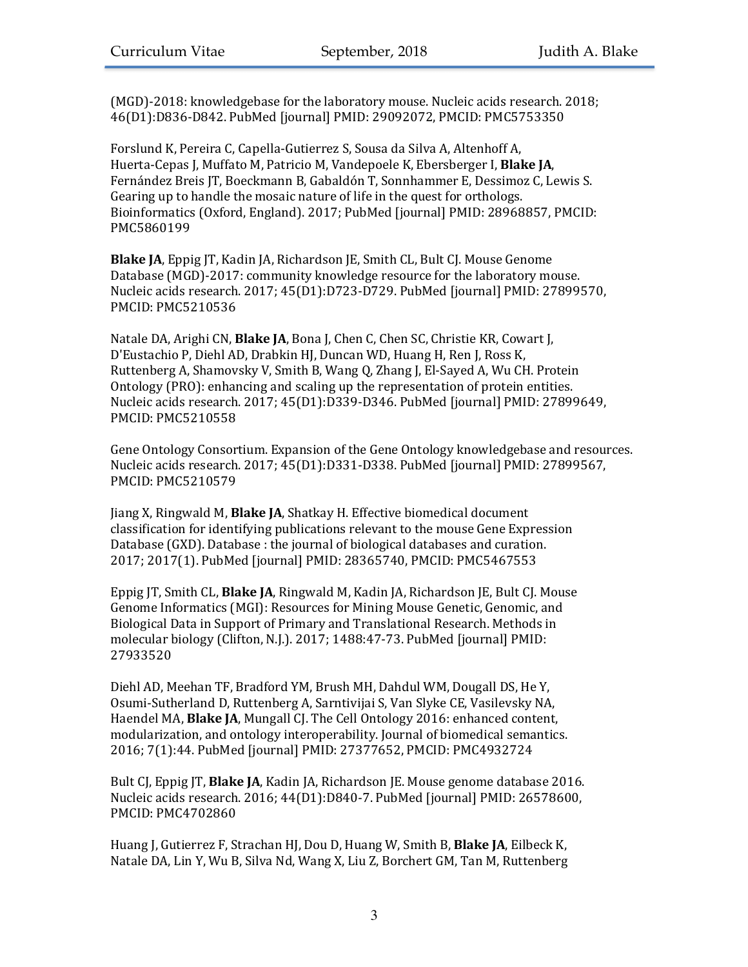(MGD)-2018: knowledgebase for the laboratory mouse. Nucleic acids research. 2018; 46(D1):D836-D842. PubMed [journal] PMID: 29092072, PMCID: PMC5753350

Forslund K, Pereira C, Capella-Gutierrez S, Sousa da Silva A, Altenhoff A, Huerta-Cepas J, Muffato M, Patricio M, Vandepoele K, Ebersberger I, Blake JA, Fernández Breis JT, Boeckmann B, Gabaldón T, Sonnhammer E, Dessimoz C, Lewis S. Gearing up to handle the mosaic nature of life in the quest for orthologs. Bioinformatics (Oxford, England). 2017; PubMed [journal] PMID: 28968857, PMCID: PMC5860199

**Blake JA**, Eppig JT, Kadin JA, Richardson JE, Smith CL, Bult CJ. Mouse Genome Database (MGD)-2017: community knowledge resource for the laboratory mouse. Nucleic acids research. 2017; 45(D1):D723-D729. PubMed [journal] PMID: 27899570, PMCID: PMC5210536

Natale DA, Arighi CN, **Blake JA**, Bona J, Chen C, Chen SC, Christie KR, Cowart J, D'Eustachio P, Diehl AD, Drabkin HJ, Duncan WD, Huang H, Ren J, Ross K, Ruttenberg A, Shamovsky V, Smith B, Wang Q, Zhang J, El-Sayed A, Wu CH. Protein Ontology (PRO): enhancing and scaling up the representation of protein entities. Nucleic acids research. 2017; 45(D1):D339-D346. PubMed [journal] PMID: 27899649, PMCID: PMC5210558

Gene Ontology Consortium. Expansion of the Gene Ontology knowledgebase and resources. Nucleic acids research. 2017; 45(D1):D331-D338. PubMed [journal] PMID: 27899567, PMCID: PMC5210579

Jiang X, Ringwald M, **Blake JA**, Shatkay H. Effective biomedical document classification for identifying publications relevant to the mouse Gene Expression Database (GXD). Database : the journal of biological databases and curation. 2017; 2017(1). PubMed [journal] PMID: 28365740, PMCID: PMC5467553

Eppig JT, Smith CL, **Blake JA**, Ringwald M, Kadin JA, Richardson JE, Bult CJ. Mouse Genome Informatics (MGI): Resources for Mining Mouse Genetic, Genomic, and Biological Data in Support of Primary and Translational Research. Methods in molecular biology (Clifton, N.J.). 2017; 1488:47-73. PubMed [journal] PMID: 27933520

Diehl AD, Meehan TF, Bradford YM, Brush MH, Dahdul WM, Dougall DS, He Y, Osumi-Sutherland D, Ruttenberg A, Sarntivijai S, Van Slyke CE, Vasilevsky NA, Haendel MA, **Blake JA**, Mungall CJ. The Cell Ontology 2016: enhanced content, modularization, and ontology interoperability. Journal of biomedical semantics. 2016; 7(1):44. PubMed [journal] PMID: 27377652, PMCID: PMC4932724

Bult CJ, Eppig JT, **Blake JA**, Kadin JA, Richardson JE. Mouse genome database 2016. Nucleic acids research. 2016; 44(D1):D840-7. PubMed [journal] PMID: 26578600, PMCID: PMC4702860

Huang J, Gutierrez F, Strachan HJ, Dou D, Huang W, Smith B, Blake JA, Eilbeck K, Natale DA, Lin Y, Wu B, Silva Nd, Wang X, Liu Z, Borchert GM, Tan M, Ruttenberg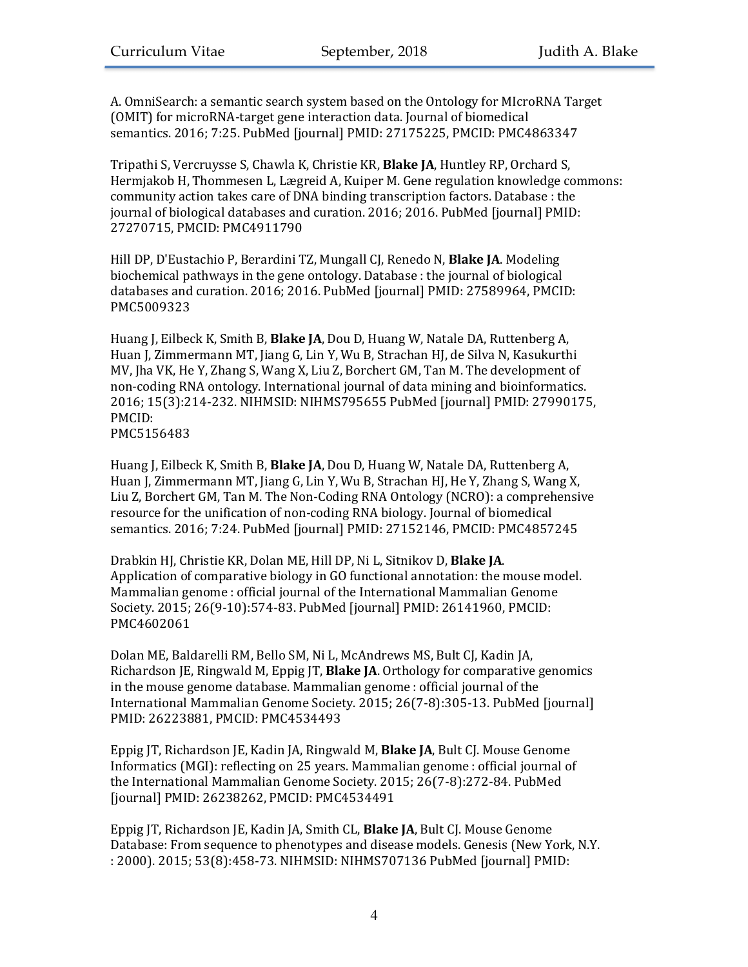A. OmniSearch: a semantic search system based on the Ontology for MIcroRNA Target (OMIT) for microRNA-target gene interaction data. Journal of biomedical semantics. 2016; 7:25. PubMed [journal] PMID: 27175225, PMCID: PMC4863347

Tripathi S, Vercruysse S, Chawla K, Christie KR, **Blake JA**, Huntley RP, Orchard S, Hermjakob H, Thommesen L, Lægreid A, Kuiper M. Gene regulation knowledge commons: community action takes care of DNA binding transcription factors. Database : the journal of biological databases and curation. 2016; 2016. PubMed [journal] PMID: 27270715, PMCID: PMC4911790

Hill DP, D'Eustachio P, Berardini TZ, Mungall CJ, Renedo N, **Blake JA**. Modeling biochemical pathways in the gene ontology. Database : the journal of biological databases and curation. 2016; 2016. PubMed [journal] PMID: 27589964, PMCID: PMC5009323

Huang J, Eilbeck K, Smith B, **Blake JA**, Dou D, Huang W, Natale DA, Ruttenberg A, Huan J, Zimmermann MT, Jiang G, Lin Y, Wu B, Strachan HJ, de Silva N, Kasukurthi MV, Jha VK, He Y, Zhang S, Wang X, Liu Z, Borchert GM, Tan M. The development of non-coding RNA ontology. International journal of data mining and bioinformatics. 2016; 15(3):214-232. NIHMSID: NIHMS795655 PubMed [journal] PMID: 27990175, PMCID: PMC5156483

Huang J, Eilbeck K, Smith B, **Blake JA**, Dou D, Huang W, Natale DA, Ruttenberg A, Huan J, Zimmermann MT, Jiang G, Lin Y, Wu B, Strachan HJ, He Y, Zhang S, Wang X, Liu Z, Borchert GM, Tan M. The Non-Coding RNA Ontology (NCRO): a comprehensive resource for the unification of non-coding RNA biology. Journal of biomedical semantics. 2016; 7:24. PubMed [journal] PMID: 27152146, PMCID: PMC4857245

Drabkin HJ, Christie KR, Dolan ME, Hill DP, Ni L, Sitnikov D, Blake JA. Application of comparative biology in GO functional annotation: the mouse model. Mammalian genome : official journal of the International Mammalian Genome Society. 2015; 26(9-10):574-83. PubMed [journal] PMID: 26141960, PMCID: PMC4602061

Dolan ME, Baldarelli RM, Bello SM, Ni L, McAndrews MS, Bult CJ, Kadin JA, Richardson JE, Ringwald M, Eppig JT, **Blake JA**. Orthology for comparative genomics in the mouse genome database. Mammalian genome : official journal of the International Mammalian Genome Society. 2015; 26(7-8):305-13. PubMed [journal] PMID: 26223881, PMCID: PMC4534493

Eppig JT, Richardson JE, Kadin JA, Ringwald M, **Blake JA**, Bult CJ. Mouse Genome Informatics (MGI): reflecting on 25 years. Mammalian genome : official journal of the International Mammalian Genome Society. 2015; 26(7-8):272-84. PubMed [journal] PMID: 26238262, PMCID: PMC4534491

Eppig JT, Richardson JE, Kadin JA, Smith CL, **Blake JA**, Bult CJ. Mouse Genome Database: From sequence to phenotypes and disease models. Genesis (New York, N.Y. : 2000). 2015; 53(8):458-73. NIHMSID: NIHMS707136 PubMed [journal] PMID: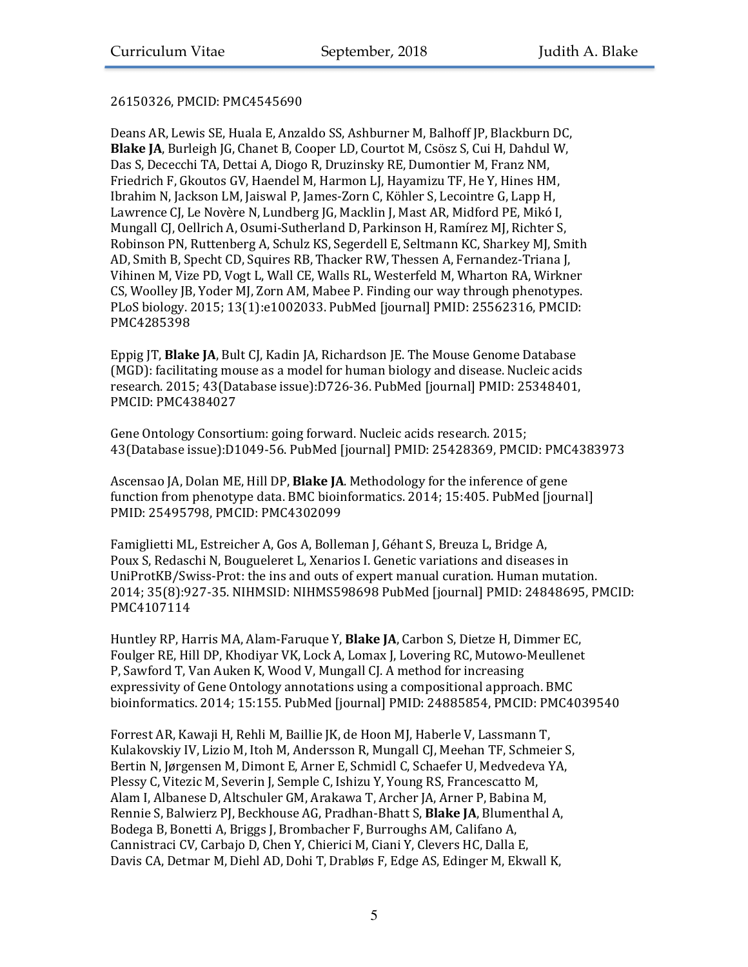# 26150326, PMCID: PMC4545690

Deans AR, Lewis SE, Huala E, Anzaldo SS, Ashburner M, Balhoff JP, Blackburn DC, **Blake JA**, Burleigh JG, Chanet B, Cooper LD, Courtot M, Csösz S, Cui H, Dahdul W, Das S, Dececchi TA, Dettai A, Diogo R, Druzinsky RE, Dumontier M, Franz NM, Friedrich F, Gkoutos GV, Haendel M, Harmon LJ, Hayamizu TF, He Y, Hines HM, Ibrahim N, Jackson LM, Jaiswal P, James-Zorn C, Köhler S, Lecointre G, Lapp H, Lawrence CJ, Le Novère N, Lundberg JG, Macklin J, Mast AR, Midford PE, Mikó I, Mungall CJ, Oellrich A, Osumi-Sutherland D, Parkinson H, Ramírez MJ, Richter S, Robinson PN, Ruttenberg A, Schulz KS, Segerdell E, Seltmann KC, Sharkey MJ, Smith AD, Smith B, Specht CD, Squires RB, Thacker RW, Thessen A, Fernandez-Triana J, Vihinen M, Vize PD, Vogt L, Wall CE, Walls RL, Westerfeld M, Wharton RA, Wirkner CS, Woolley JB, Yoder MJ, Zorn AM, Mabee P. Finding our way through phenotypes. PLoS biology. 2015; 13(1):e1002033. PubMed [journal] PMID: 25562316, PMCID: PMC4285398

Eppig JT, **Blake JA**, Bult CJ, Kadin JA, Richardson JE. The Mouse Genome Database (MGD): facilitating mouse as a model for human biology and disease. Nucleic acids research. 2015; 43(Database issue):D726-36. PubMed [journal] PMID: 25348401. PMCID: PMC4384027

Gene Ontology Consortium: going forward. Nucleic acids research. 2015; 43(Database issue):D1049-56. PubMed [journal] PMID: 25428369, PMCID: PMC4383973

Ascensao JA, Dolan ME, Hill DP, Blake JA. Methodology for the inference of gene function from phenotype data. BMC bioinformatics. 2014; 15:405. PubMed [journal] PMID: 25495798, PMCID: PMC4302099

Famiglietti ML, Estreicher A, Gos A, Bolleman J, Géhant S, Breuza L, Bridge A, Poux S, Redaschi N, Bougueleret L, Xenarios I. Genetic variations and diseases in UniProtKB/Swiss-Prot: the ins and outs of expert manual curation. Human mutation. 2014; 35(8):927-35. NIHMSID: NIHMS598698 PubMed [journal] PMID: 24848695, PMCID: PMC4107114

Huntley RP, Harris MA, Alam-Faruque Y, Blake JA, Carbon S, Dietze H, Dimmer EC, Foulger RE, Hill DP, Khodiyar VK, Lock A, Lomax J, Lovering RC, Mutowo-Meullenet P, Sawford T, Van Auken K, Wood V, Mungall CJ. A method for increasing expressivity of Gene Ontology annotations using a compositional approach. BMC bioinformatics. 2014; 15:155. PubMed [journal] PMID: 24885854, PMCID: PMC4039540

Forrest AR, Kawaji H, Rehli M, Baillie JK, de Hoon MJ, Haberle V, Lassmann T, Kulakovskiy IV, Lizio M, Itoh M, Andersson R, Mungall CJ, Meehan TF, Schmeier S, Bertin N, Jørgensen M, Dimont E, Arner E, Schmidl C, Schaefer U, Medvedeva YA, Plessy C, Vitezic M, Severin J, Semple C, Ishizu Y, Young RS, Francescatto M, Alam I, Albanese D, Altschuler GM, Arakawa T, Archer JA, Arner P, Babina M, Rennie S, Balwierz PJ, Beckhouse AG, Pradhan-Bhatt S, **Blake JA**, Blumenthal A, Bodega B, Bonetti A, Briggs J, Brombacher F, Burroughs AM, Califano A, Cannistraci CV, Carbajo D, Chen Y, Chierici M, Ciani Y, Clevers HC, Dalla E, Davis CA, Detmar M, Diehl AD, Dohi T, Drabløs F, Edge AS, Edinger M, Ekwall K,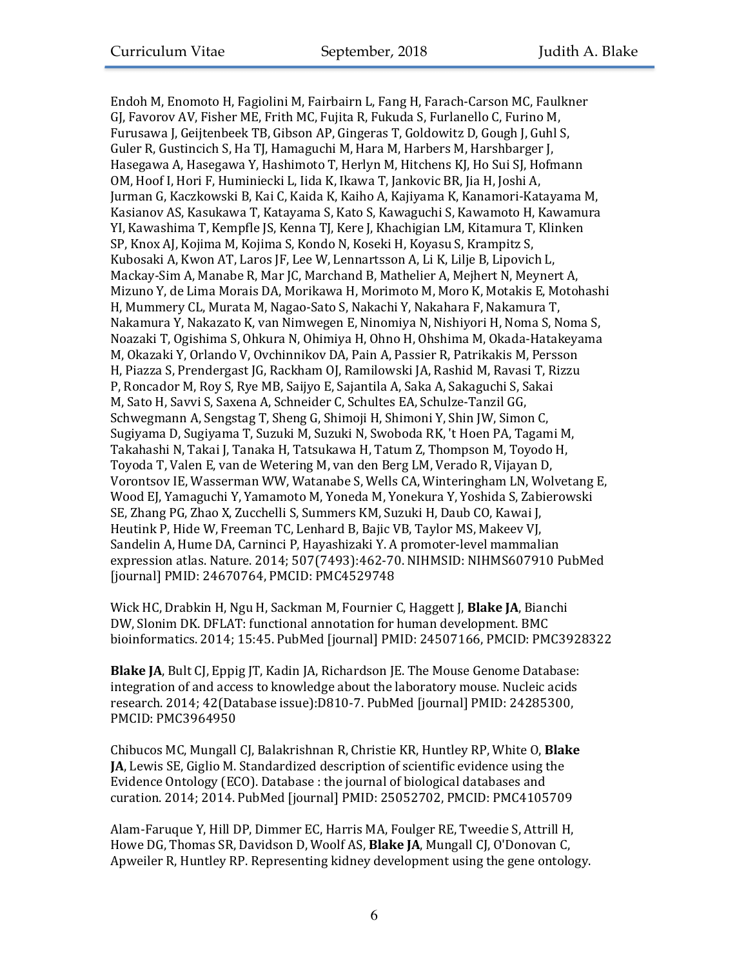Endoh M, Enomoto H, Fagiolini M, Fairbairn L, Fang H, Farach-Carson MC, Faulkner GJ, Favorov AV, Fisher ME, Frith MC, Fujita R, Fukuda S, Furlanello C, Furino M, Furusawa J, Geijtenbeek TB, Gibson AP, Gingeras T, Goldowitz D, Gough J, Guhl S, Guler R, Gustincich S, Ha TJ, Hamaguchi M, Hara M, Harbers M, Harshbarger J, Hasegawa A, Hasegawa Y, Hashimoto T, Herlyn M, Hitchens KJ, Ho Sui SJ, Hofmann OM, Hoof I, Hori F, Huminiecki L, Iida K, Ikawa T, Jankovic BR, Jia H, Joshi A, Jurman G, Kaczkowski B, Kai C, Kaida K, Kaiho A, Kajiyama K, Kanamori-Katayama M, Kasianov AS, Kasukawa T, Katayama S, Kato S, Kawaguchi S, Kawamoto H, Kawamura YI, Kawashima T, Kempfle JS, Kenna TJ, Kere J, Khachigian LM, Kitamura T, Klinken SP, Knox AJ, Kojima M, Kojima S, Kondo N, Koseki H, Koyasu S, Krampitz S, Kubosaki A, Kwon AT, Laros JF, Lee W, Lennartsson A, Li K, Lilje B, Lipovich L, Mackay-Sim A, Manabe R, Mar JC, Marchand B, Mathelier A, Mejhert N, Meynert A, Mizuno Y, de Lima Morais DA, Morikawa H, Morimoto M, Moro K, Motakis E, Motohashi H, Mummery CL, Murata M, Nagao-Sato S, Nakachi Y, Nakahara F, Nakamura T, Nakamura Y, Nakazato K, van Nimwegen E, Ninomiya N, Nishiyori H, Noma S, Noma S, Noazaki T, Ogishima S, Ohkura N, Ohimiya H, Ohno H, Ohshima M, Okada-Hatakeyama M, Okazaki Y, Orlando V, Ovchinnikov DA, Pain A, Passier R, Patrikakis M, Persson H, Piazza S, Prendergast JG, Rackham OJ, Ramilowski JA, Rashid M, Ravasi T, Rizzu P, Roncador M, Roy S, Rye MB, Saijyo E, Sajantila A, Saka A, Sakaguchi S, Sakai M, Sato H, Savvi S, Saxena A, Schneider C, Schultes EA, Schulze-Tanzil GG, Schwegmann A, Sengstag T, Sheng G, Shimoji H, Shimoni Y, Shin JW, Simon C, Sugiyama D, Sugiyama T, Suzuki M, Suzuki N, Swoboda RK, 't Hoen PA, Tagami M, Takahashi N, Takai J, Tanaka H, Tatsukawa H, Tatum Z, Thompson M, Toyodo H, Toyoda T, Valen E, van de Wetering M, van den Berg LM, Verado R, Vijayan D, Vorontsov IE, Wasserman WW, Watanabe S, Wells CA, Winteringham LN, Wolvetang E, Wood EJ, Yamaguchi Y, Yamamoto M, Yoneda M, Yonekura Y, Yoshida S, Zabierowski SE, Zhang PG, Zhao X, Zucchelli S, Summers KM, Suzuki H, Daub CO, Kawai J, Heutink P, Hide W, Freeman TC, Lenhard B, Bajic VB, Taylor MS, Makeev VJ, Sandelin A, Hume DA, Carninci P, Hayashizaki Y. A promoter-level mammalian expression atlas. Nature. 2014; 507(7493):462-70. NIHMSID: NIHMS607910 PubMed [journal] PMID: 24670764, PMCID: PMC4529748

Wick HC, Drabkin H, Ngu H, Sackman M, Fournier C, Haggett J, Blake JA, Bianchi DW, Slonim DK. DFLAT: functional annotation for human development. BMC bioinformatics. 2014; 15:45. PubMed [journal] PMID: 24507166, PMCID: PMC3928322

**Blake JA**, Bult CJ, Eppig JT, Kadin JA, Richardson JE. The Mouse Genome Database: integration of and access to knowledge about the laboratory mouse. Nucleic acids research. 2014; 42(Database issue):D810-7. PubMed [journal] PMID: 24285300, PMCID: PMC3964950

Chibucos MC, Mungall CJ, Balakrishnan R, Christie KR, Huntley RP, White O, **Blake JA**, Lewis SE, Giglio M. Standardized description of scientific evidence using the Evidence Ontology (ECO). Database : the journal of biological databases and curation. 2014; 2014. PubMed [journal] PMID: 25052702, PMCID: PMC4105709

Alam-Faruque Y, Hill DP, Dimmer EC, Harris MA, Foulger RE, Tweedie S, Attrill H, Howe DG, Thomas SR, Davidson D, Woolf AS, Blake JA, Mungall CJ, O'Donovan C, Apweiler R, Huntley RP. Representing kidney development using the gene ontology.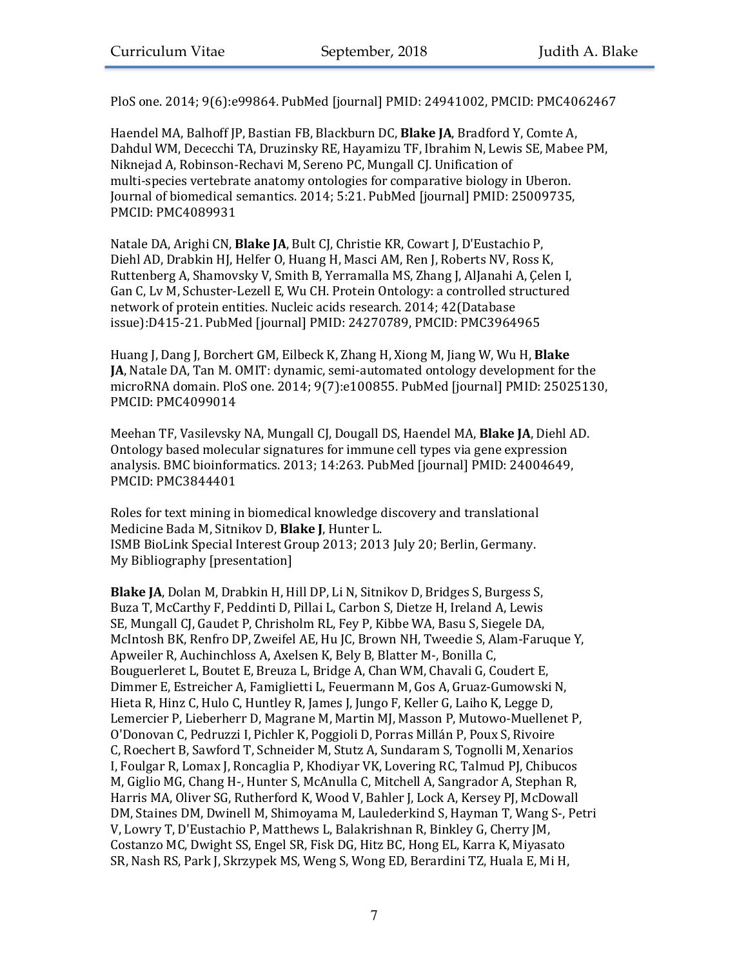PloS one. 2014; 9(6):e99864. PubMed [journal] PMID: 24941002, PMCID: PMC4062467

Haendel MA, Balhoff JP, Bastian FB, Blackburn DC, **Blake JA**, Bradford Y, Comte A, Dahdul WM, Dececchi TA, Druzinsky RE, Hayamizu TF, Ibrahim N, Lewis SE, Mabee PM, Niknejad A, Robinson-Rechavi M, Sereno PC, Mungall CJ, Unification of multi-species vertebrate anatomy ontologies for comparative biology in Uberon. Journal of biomedical semantics. 2014; 5:21. PubMed [journal] PMID: 25009735, PMCID: PMC4089931

Natale DA, Arighi CN, Blake JA, Bult CJ, Christie KR, Cowart J, D'Eustachio P, Diehl AD, Drabkin HJ, Helfer O, Huang H, Masci AM, Ren J, Roberts NV, Ross K, Ruttenberg A, Shamovsky V, Smith B, Yerramalla MS, Zhang J, AlJanahi A, Çelen I, Gan C, Lv M, Schuster-Lezell E, Wu CH. Protein Ontology: a controlled structured network of protein entities. Nucleic acids research. 2014; 42(Database issue):D415-21. PubMed [journal] PMID: 24270789, PMCID: PMC3964965

Huang J, Dang J, Borchert GM, Eilbeck K, Zhang H, Xiong M, Jiang W, Wu H, **Blake JA**, Natale DA, Tan M. OMIT: dynamic, semi-automated ontology development for the microRNA domain. PloS one. 2014; 9(7):e100855. PubMed [journal] PMID: 25025130, PMCID: PMC4099014

Meehan TF, Vasilevsky NA, Mungall CJ, Dougall DS, Haendel MA, **Blake JA**, Diehl AD. Ontology based molecular signatures for immune cell types via gene expression analysis. BMC bioinformatics. 2013; 14:263. PubMed [journal] PMID: 24004649, PMCID: PMC3844401

Roles for text mining in biomedical knowledge discovery and translational Medicine Bada M, Sitnikov D, Blake J, Hunter L. ISMB BioLink Special Interest Group 2013; 2013 July 20; Berlin, Germany. My Bibliography [presentation]

**Blake JA**, Dolan M, Drabkin H, Hill DP, Li N, Sitnikov D, Bridges S, Burgess S, Buza T, McCarthy F, Peddinti D, Pillai L, Carbon S, Dietze H, Ireland A, Lewis SE, Mungall CJ, Gaudet P, Chrisholm RL, Fey P, Kibbe WA, Basu S, Siegele DA, McIntosh BK, Renfro DP, Zweifel AE, Hu JC, Brown NH, Tweedie S, Alam-Faruque Y, Apweiler R, Auchinchloss A, Axelsen K, Bely B, Blatter M-, Bonilla C, Bouguerleret L, Boutet E, Breuza L, Bridge A, Chan WM, Chavali G, Coudert E, Dimmer E, Estreicher A, Famiglietti L, Feuermann M, Gos A, Gruaz-Gumowski N, Hieta R, Hinz C, Hulo C, Huntley R, James J, Jungo F, Keller G, Laiho K, Legge D, Lemercier P, Lieberherr D, Magrane M, Martin MJ, Masson P, Mutowo-Muellenet P, O'Donovan C, Pedruzzi I, Pichler K, Poggioli D, Porras Millán P, Poux S, Rivoire C, Roechert B, Sawford T, Schneider M, Stutz A, Sundaram S, Tognolli M, Xenarios I, Foulgar R, Lomax J, Roncaglia P, Khodiyar VK, Lovering RC, Talmud PJ, Chibucos M, Giglio MG, Chang H-, Hunter S, McAnulla C, Mitchell A, Sangrador A, Stephan R, Harris MA, Oliver SG, Rutherford K, Wood V, Bahler J, Lock A, Kersey PJ, McDowall DM, Staines DM, Dwinell M, Shimoyama M, Laulederkind S, Hayman T, Wang S-, Petri V, Lowry T, D'Eustachio P, Matthews L, Balakrishnan R, Binkley G, Cherry JM, Costanzo MC, Dwight SS, Engel SR, Fisk DG, Hitz BC, Hong EL, Karra K, Miyasato SR, Nash RS, Park J, Skrzypek MS, Weng S, Wong ED, Berardini TZ, Huala E, Mi H,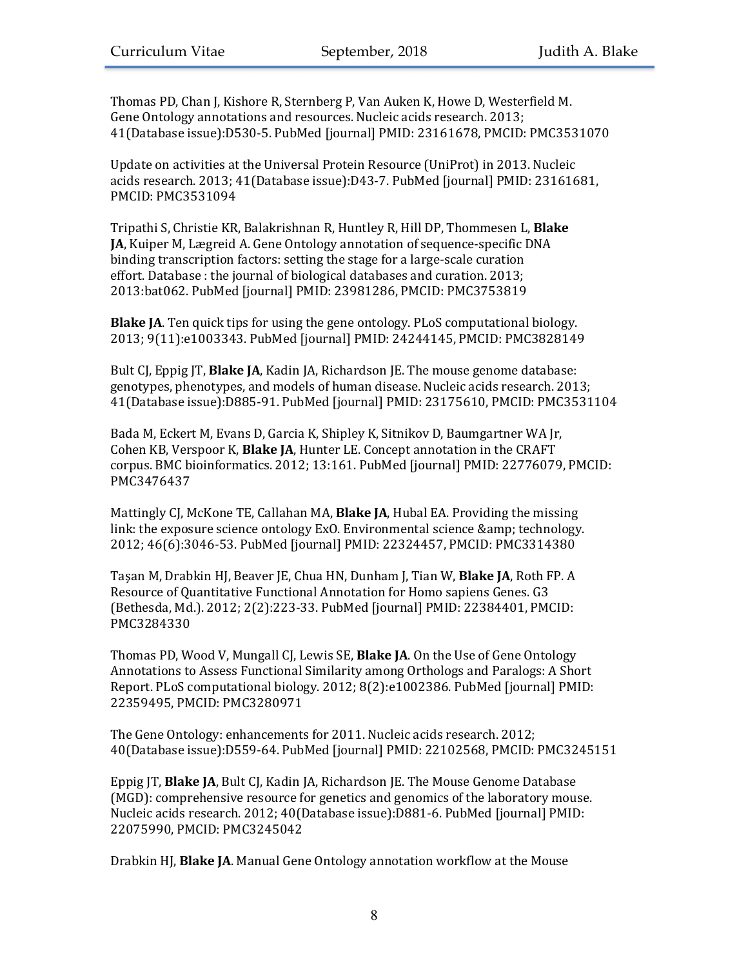Thomas PD, Chan J, Kishore R, Sternberg P, Van Auken K, Howe D, Westerfield M. Gene Ontology annotations and resources. Nucleic acids research. 2013; 41(Database issue):D530-5. PubMed [journal] PMID: 23161678, PMCID: PMC3531070

Update on activities at the Universal Protein Resource (UniProt) in 2013. Nucleic acids research. 2013; 41(Database issue):D43-7. PubMed [journal] PMID: 23161681, PMCID: PMC3531094

Tripathi S, Christie KR, Balakrishnan R, Huntley R, Hill DP, Thommesen L, Blake **JA**, Kuiper M, Lægreid A. Gene Ontology annotation of sequence-specific DNA binding transcription factors: setting the stage for a large-scale curation effort. Database : the journal of biological databases and curation. 2013; 2013:bat062. PubMed [journal] PMID: 23981286, PMCID: PMC3753819

**Blake JA**. Ten quick tips for using the gene ontology. PLoS computational biology. 2013; 9(11):e1003343. PubMed [journal] PMID: 24244145, PMCID: PMC3828149

Bult CI, Eppig IT, **Blake JA**, Kadin JA, Richardson JE. The mouse genome database: genotypes, phenotypes, and models of human disease. Nucleic acids research. 2013; 41(Database issue):D885-91. PubMed [journal] PMID: 23175610, PMCID: PMC3531104

Bada M, Eckert M, Evans D, Garcia K, Shipley K, Sitnikov D, Baumgartner WA Jr, Cohen KB, Verspoor K, **Blake JA**, Hunter LE. Concept annotation in the CRAFT corpus. BMC bioinformatics. 2012; 13:161. PubMed [journal] PMID: 22776079, PMCID: PMC3476437

Mattingly CJ, McKone TE, Callahan MA, **Blake JA**, Hubal EA. Providing the missing link: the exposure science ontology ExO. Environmental science & amp; technology. 2012; 46(6):3046-53. PubMed [journal] PMID: 22324457, PMCID: PMC3314380

Taşan M, Drabkin HJ, Beaver JE, Chua HN, Dunham J, Tian W, **Blake JA**, Roth FP. A Resource of Quantitative Functional Annotation for Homo sapiens Genes. G3 (Bethesda, Md.). 2012; 2(2):223-33. PubMed [journal] PMID: 22384401, PMCID: PMC3284330

Thomas PD, Wood V, Mungall CJ, Lewis SE, **Blake JA**. On the Use of Gene Ontology Annotations to Assess Functional Similarity among Orthologs and Paralogs: A Short Report. PLoS computational biology. 2012; 8(2):e1002386. PubMed [journal] PMID: 22359495, PMCID: PMC3280971

The Gene Ontology: enhancements for 2011. Nucleic acids research. 2012; 40(Database issue):D559-64. PubMed [journal] PMID: 22102568, PMCID: PMC3245151

Eppig JT, **Blake JA**, Bult CJ, Kadin JA, Richardson JE. The Mouse Genome Database (MGD): comprehensive resource for genetics and genomics of the laboratory mouse. Nucleic acids research. 2012; 40(Database issue):D881-6. PubMed [journal] PMID: 22075990, PMCID: PMC3245042

Drabkin HJ, **Blake JA**. Manual Gene Ontology annotation workflow at the Mouse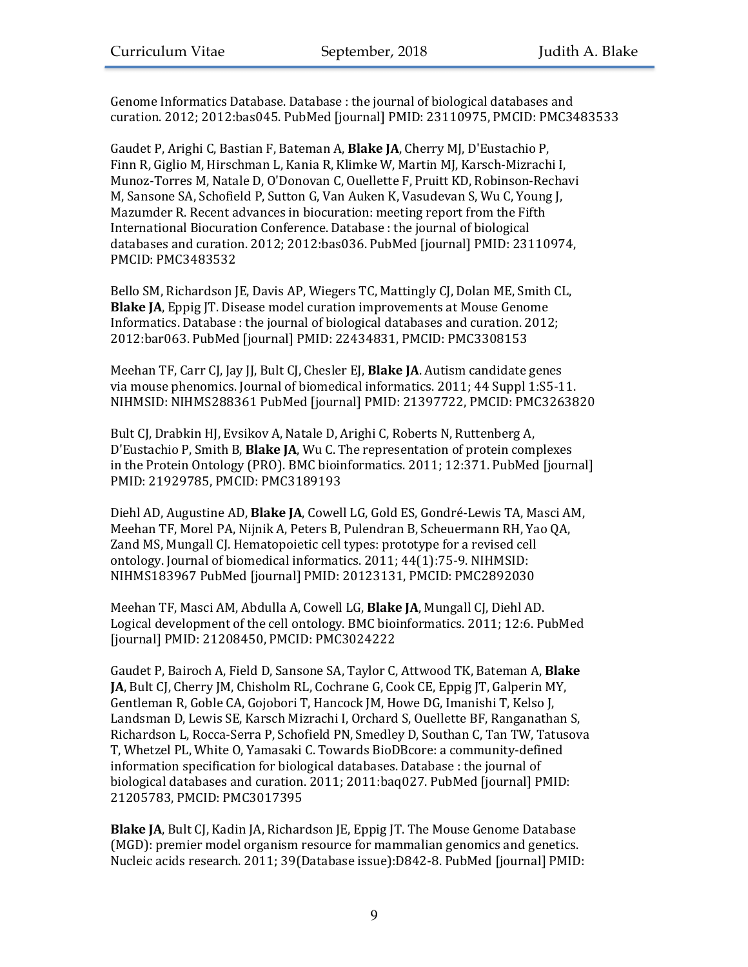Genome Informatics Database. Database : the journal of biological databases and curation. 2012; 2012:bas045. PubMed [journal] PMID: 23110975, PMCID: PMC3483533

Gaudet P, Arighi C, Bastian F, Bateman A, **Blake JA**, Cherry MJ, D'Eustachio P, Finn R, Giglio M, Hirschman L, Kania R, Klimke W, Martin MJ, Karsch-Mizrachi I, Munoz-Torres M, Natale D, O'Donovan C, Ouellette F, Pruitt KD, Robinson-Rechavi M, Sansone SA, Schofield P, Sutton G, Van Auken K, Vasudevan S, Wu C, Young J, Mazumder R. Recent advances in biocuration: meeting report from the Fifth International Biocuration Conference. Database : the journal of biological databases and curation. 2012; 2012:bas036. PubMed [journal] PMID: 23110974, PMCID: PMC3483532

Bello SM, Richardson JE, Davis AP, Wiegers TC, Mattingly CJ, Dolan ME, Smith CL, **Blake JA**, Eppig JT. Disease model curation improvements at Mouse Genome Informatics. Database : the journal of biological databases and curation. 2012; 2012:bar063. PubMed [journal] PMID: 22434831, PMCID: PMC3308153

Meehan TF, Carr CJ, Jay JJ, Bult CJ, Chesler EJ, **Blake JA**. Autism candidate genes via mouse phenomics. Journal of biomedical informatics. 2011; 44 Suppl 1:S5-11. NIHMSID: NIHMS288361 PubMed [journal] PMID: 21397722, PMCID: PMC3263820

Bult CJ, Drabkin HJ, Evsikov A, Natale D, Arighi C, Roberts N, Ruttenberg A, D'Eustachio P, Smith B, **Blake JA**, Wu C. The representation of protein complexes in the Protein Ontology (PRO). BMC bioinformatics. 2011; 12:371. PubMed [journal] PMID: 21929785, PMCID: PMC3189193

Diehl AD, Augustine AD, **Blake JA**, Cowell LG, Gold ES, Gondré-Lewis TA, Masci AM, Meehan TF, Morel PA, Nijnik A, Peters B, Pulendran B, Scheuermann RH, Yao QA, Zand MS, Mungall CJ. Hematopoietic cell types: prototype for a revised cell ontology. Journal of biomedical informatics. 2011; 44(1):75-9. NIHMSID: NIHMS183967 PubMed [journal] PMID: 20123131, PMCID: PMC2892030

Meehan TF, Masci AM, Abdulla A, Cowell LG, Blake JA, Mungall CJ, Diehl AD. Logical development of the cell ontology. BMC bioinformatics. 2011; 12:6. PubMed [journal] PMID: 21208450, PMCID: PMC3024222

Gaudet P, Bairoch A, Field D, Sansone SA, Taylor C, Attwood TK, Bateman A, Blake **JA**, Bult CJ, Cherry JM, Chisholm RL, Cochrane G, Cook CE, Eppig JT, Galperin MY, Gentleman R, Goble CA, Gojobori T, Hancock JM, Howe DG, Imanishi T, Kelso J, Landsman D, Lewis SE, Karsch Mizrachi I, Orchard S, Ouellette BF, Ranganathan S, Richardson L, Rocca-Serra P, Schofield PN, Smedley D, Southan C, Tan TW, Tatusova T, Whetzel PL, White O, Yamasaki C. Towards BioDBcore: a community-defined information specification for biological databases. Database : the journal of biological databases and curation. 2011; 2011:baq027. PubMed [journal] PMID: 21205783, PMCID: PMC3017395

**Blake JA**, Bult CJ, Kadin JA, Richardson JE, Eppig JT. The Mouse Genome Database (MGD): premier model organism resource for mammalian genomics and genetics. Nucleic acids research. 2011; 39(Database issue):D842-8. PubMed [journal] PMID: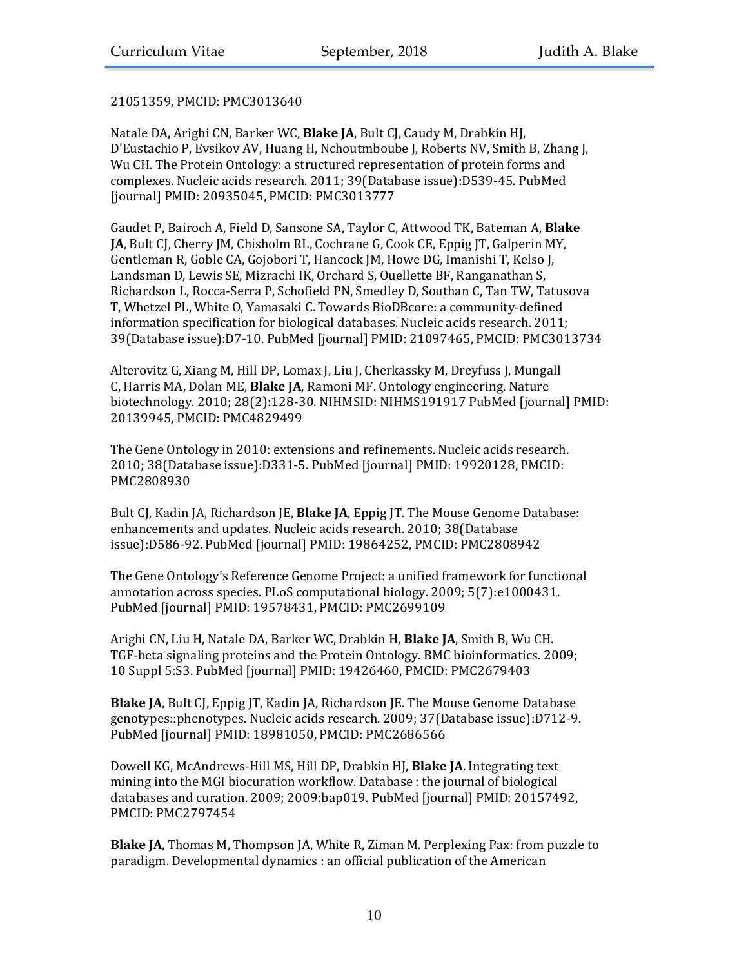## 21051359, PMCID: PMC3013640

Natale DA, Arighi CN, Barker WC, Blake JA, Bult CJ, Caudy M, Drabkin HJ, D'Eustachio P, Evsikov AV, Huang H, Nchoutmboube J, Roberts NV, Smith B, Zhang J, Wu CH. The Protein Ontology: a structured representation of protein forms and complexes. Nucleic acids research. 2011; 39(Database issue):D539-45. PubMed [journal] PMID: 20935045, PMCID: PMC3013777

Gaudet P, Bairoch A, Field D, Sansone SA, Taylor C, Attwood TK, Bateman A, Blake **JA**, Bult CJ, Cherry JM, Chisholm RL, Cochrane G, Cook CE, Eppig JT, Galperin MY, Gentleman R, Goble CA, Gojobori T, Hancock JM, Howe DG, Imanishi T, Kelso J, Landsman D, Lewis SE, Mizrachi IK, Orchard S, Ouellette BF, Ranganathan S, Richardson L, Rocca-Serra P, Schofield PN, Smedley D, Southan C, Tan TW, Tatusova T, Whetzel PL, White O, Yamasaki C. Towards BioDBcore: a community-defined information specification for biological databases. Nucleic acids research. 2011; 39(Database issue):D7-10. PubMed [journal] PMID: 21097465, PMCID: PMC3013734

Alterovitz G, Xiang M, Hill DP, Lomax J, Liu J, Cherkassky M, Dreyfuss J, Mungall C, Harris MA, Dolan ME, **Blake JA**, Ramoni MF. Ontology engineering. Nature biotechnology. 2010; 28(2):128-30. NIHMSID: NIHMS191917 PubMed [journal] PMID: 20139945, PMCID: PMC4829499

The Gene Ontology in 2010: extensions and refinements. Nucleic acids research. 2010; 38(Database issue):D331-5. PubMed [journal] PMID: 19920128, PMCID: PMC2808930

Bult CJ, Kadin JA, Richardson JE, **Blake JA**, Eppig JT. The Mouse Genome Database: enhancements and updates. Nucleic acids research. 2010; 38(Database issue):D586-92. PubMed [journal] PMID: 19864252, PMCID: PMC2808942

The Gene Ontology's Reference Genome Project: a unified framework for functional annotation across species. PLoS computational biology. 2009; 5(7):e1000431. PubMed [journal] PMID: 19578431, PMCID: PMC2699109

Arighi CN, Liu H, Natale DA, Barker WC, Drabkin H, Blake JA, Smith B, Wu CH. TGF-beta signaling proteins and the Protein Ontology. BMC bioinformatics. 2009; 10 Suppl 5:S3. PubMed [journal] PMID: 19426460, PMCID: PMC2679403

**Blake JA**, Bult CJ, Eppig JT, Kadin JA, Richardson JE. The Mouse Genome Database genotypes::phenotypes. Nucleic acids research. 2009; 37(Database issue):D712-9. PubMed [journal] PMID: 18981050, PMCID: PMC2686566

Dowell KG, McAndrews-Hill MS, Hill DP, Drabkin HJ, Blake JA. Integrating text mining into the MGI biocuration workflow. Database : the journal of biological databases and curation. 2009; 2009:bap019. PubMed [journal] PMID: 20157492, PMCID: PMC2797454

**Blake JA**, Thomas M, Thompson JA, White R, Ziman M. Perplexing Pax: from puzzle to paradigm. Developmental dynamics : an official publication of the American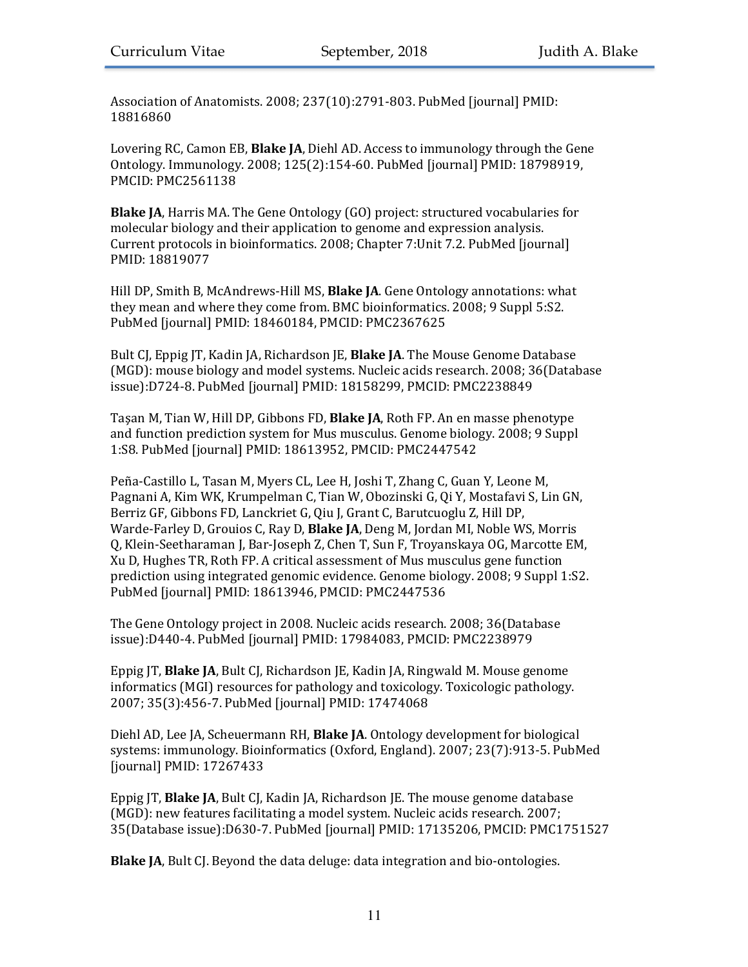Association of Anatomists. 2008; 237(10):2791-803. PubMed [journal] PMID: 18816860

Lovering RC, Camon EB, **Blake JA**, Diehl AD. Access to immunology through the Gene Ontology. Immunology. 2008; 125(2):154-60. PubMed [journal] PMID: 18798919, PMCID: PMC2561138

**Blake JA**, Harris MA. The Gene Ontology (GO) project: structured vocabularies for molecular biology and their application to genome and expression analysis. Current protocols in bioinformatics. 2008; Chapter 7:Unit 7.2. PubMed [journal] PMID: 18819077

Hill DP, Smith B, McAndrews-Hill MS, **Blake JA**. Gene Ontology annotations: what they mean and where they come from. BMC bioinformatics. 2008; 9 Suppl 5:S2. PubMed [journal] PMID: 18460184, PMCID: PMC2367625

Bult CJ, Eppig JT, Kadin JA, Richardson JE, **Blake JA**. The Mouse Genome Database (MGD): mouse biology and model systems. Nucleic acids research.  $2008$ ;  $36$ (Database) issue):D724-8. PubMed [journal] PMID: 18158299, PMCID: PMC2238849

Tasan M, Tian W, Hill DP, Gibbons FD, **Blake JA**, Roth FP. An en masse phenotype and function prediction system for Mus musculus. Genome biology. 2008; 9 Suppl 1:S8. PubMed [journal] PMID: 18613952, PMCID: PMC2447542

Peña-Castillo L, Tasan M, Myers CL, Lee H, Joshi T, Zhang C, Guan Y, Leone M, Pagnani A, Kim WK, Krumpelman C, Tian W, Obozinski G, Qi Y, Mostafavi S, Lin GN, Berriz GF, Gibbons FD, Lanckriet G, Qiu J, Grant C, Barutcuoglu Z, Hill DP, Warde-Farley D, Grouios C, Ray D, **Blake JA**, Deng M, Jordan MI, Noble WS, Morris Q, Klein-Seetharaman J, Bar-Joseph Z, Chen T, Sun F, Troyanskaya OG, Marcotte EM, Xu D. Hughes TR, Roth FP. A critical assessment of Mus musculus gene function prediction using integrated genomic evidence. Genome biology. 2008; 9 Suppl 1:S2. PubMed [journal] PMID: 18613946, PMCID: PMC2447536

The Gene Ontology project in 2008. Nucleic acids research. 2008; 36(Database issue):D440-4. PubMed [journal] PMID: 17984083, PMCID: PMC2238979

Eppig JT, **Blake JA**, Bult CJ, Richardson JE, Kadin JA, Ringwald M. Mouse genome informatics (MGI) resources for pathology and toxicology. Toxicologic pathology. 2007; 35(3):456-7. PubMed [journal] PMID: 17474068

Diehl AD, Lee JA, Scheuermann RH, **Blake JA**. Ontology development for biological systems: immunology. Bioinformatics (Oxford, England). 2007; 23(7):913-5. PubMed [journal] PMID: 17267433

Eppig JT, **Blake JA**, Bult CJ, Kadin JA, Richardson JE. The mouse genome database (MGD): new features facilitating a model system. Nucleic acids research. 2007; 35(Database issue):D630-7. PubMed [journal] PMID: 17135206, PMCID: PMC1751527

**Blake JA**, Bult CJ. Beyond the data deluge: data integration and bio-ontologies.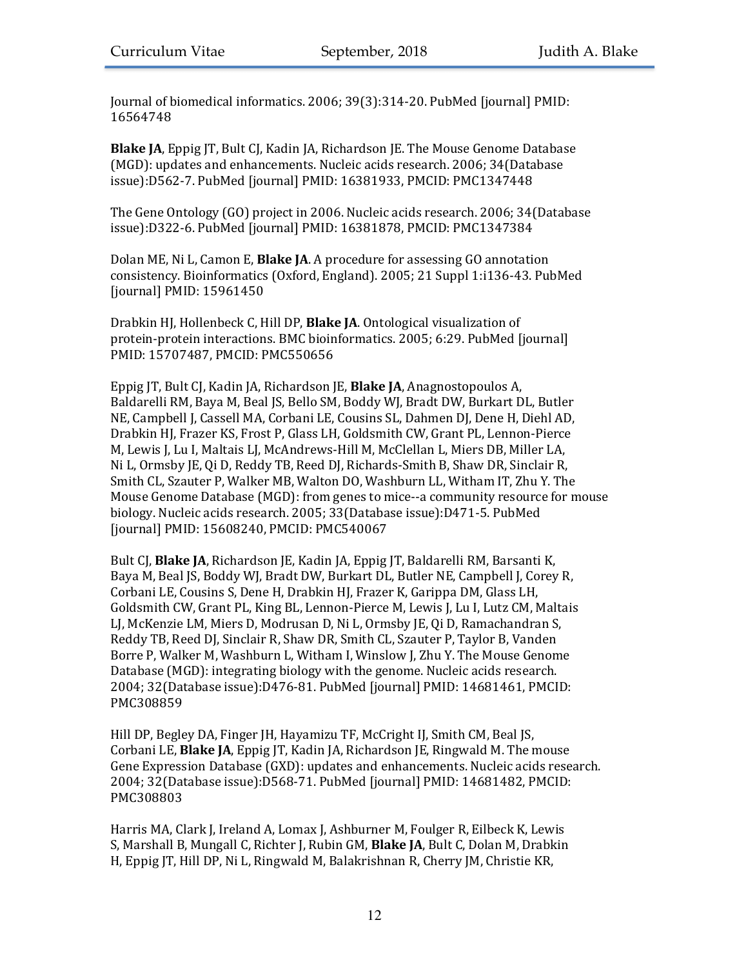Journal of biomedical informatics. 2006; 39(3):314-20. PubMed [journal] PMID: 16564748

**Blake JA**, Eppig JT, Bult CJ, Kadin JA, Richardson JE. The Mouse Genome Database (MGD): updates and enhancements. Nucleic acids research. 2006; 34(Database issue):D562-7. PubMed [journal] PMID: 16381933, PMCID: PMC1347448

The Gene Ontology (GO) project in 2006. Nucleic acids research. 2006; 34(Database issue):D322-6. PubMed [journal] PMID: 16381878, PMCID: PMC1347384

Dolan ME, Ni L, Camon E, Blake JA. A procedure for assessing GO annotation consistency. Bioinformatics (Oxford, England). 2005; 21 Suppl 1:i136-43. PubMed [journal] PMID: 15961450

Drabkin HJ, Hollenbeck C, Hill DP, **Blake JA**. Ontological visualization of protein-protein interactions. BMC bioinformatics. 2005; 6:29. PubMed [journal] PMID: 15707487, PMCID: PMC550656

Eppig JT, Bult CJ, Kadin JA, Richardson JE, **Blake JA**, Anagnostopoulos A, Baldarelli RM, Baya M, Beal JS, Bello SM, Boddy WJ, Bradt DW, Burkart DL, Butler NE, Campbell J, Cassell MA, Corbani LE, Cousins SL, Dahmen DJ, Dene H, Diehl AD, Drabkin HJ, Frazer KS, Frost P, Glass LH, Goldsmith CW, Grant PL, Lennon-Pierce M, Lewis J, Lu I, Maltais LJ, McAndrews-Hill M, McClellan L, Miers DB, Miller LA, Ni L, Ormsby JE, Qi D, Reddy TB, Reed DJ, Richards-Smith B, Shaw DR, Sinclair R, Smith CL, Szauter P, Walker MB, Walton DO, Washburn LL, Witham IT, Zhu Y. The Mouse Genome Database (MGD): from genes to mice--a community resource for mouse biology. Nucleic acids research. 2005; 33(Database issue):D471-5. PubMed [journal] PMID: 15608240, PMCID: PMC540067

Bult CJ, **Blake JA**, Richardson JE, Kadin JA, Eppig JT, Baldarelli RM, Barsanti K, Baya M, Beal JS, Boddy WJ, Bradt DW, Burkart DL, Butler NE, Campbell J, Corey R, Corbani LE, Cousins S, Dene H, Drabkin HJ, Frazer K, Garippa DM, Glass LH, Goldsmith CW, Grant PL, King BL, Lennon-Pierce M, Lewis J, Lu I, Lutz CM, Maltais LJ, McKenzie LM, Miers D, Modrusan D, Ni L, Ormsby JE, Qi D, Ramachandran S, Reddy TB, Reed DJ, Sinclair R, Shaw DR, Smith CL, Szauter P, Taylor B, Vanden Borre P, Walker M, Washburn L, Witham I, Winslow J, Zhu Y. The Mouse Genome Database (MGD): integrating biology with the genome. Nucleic acids research. 2004; 32(Database issue):D476-81. PubMed [journal] PMID: 14681461, PMCID: PMC308859

Hill DP, Begley DA, Finger JH, Hayamizu TF, McCright IJ, Smith CM, Beal JS, Corbani LE, **Blake JA**, Eppig JT, Kadin JA, Richardson JE, Ringwald M. The mouse Gene Expression Database (GXD): updates and enhancements. Nucleic acids research. 2004; 32(Database issue):D568-71. PubMed [journal] PMID: 14681482, PMCID: PMC308803

Harris MA, Clark J, Ireland A, Lomax J, Ashburner M, Foulger R, Eilbeck K, Lewis S, Marshall B, Mungall C, Richter J, Rubin GM, Blake JA, Bult C, Dolan M, Drabkin H, Eppig JT, Hill DP, Ni L, Ringwald M, Balakrishnan R, Cherry JM, Christie KR,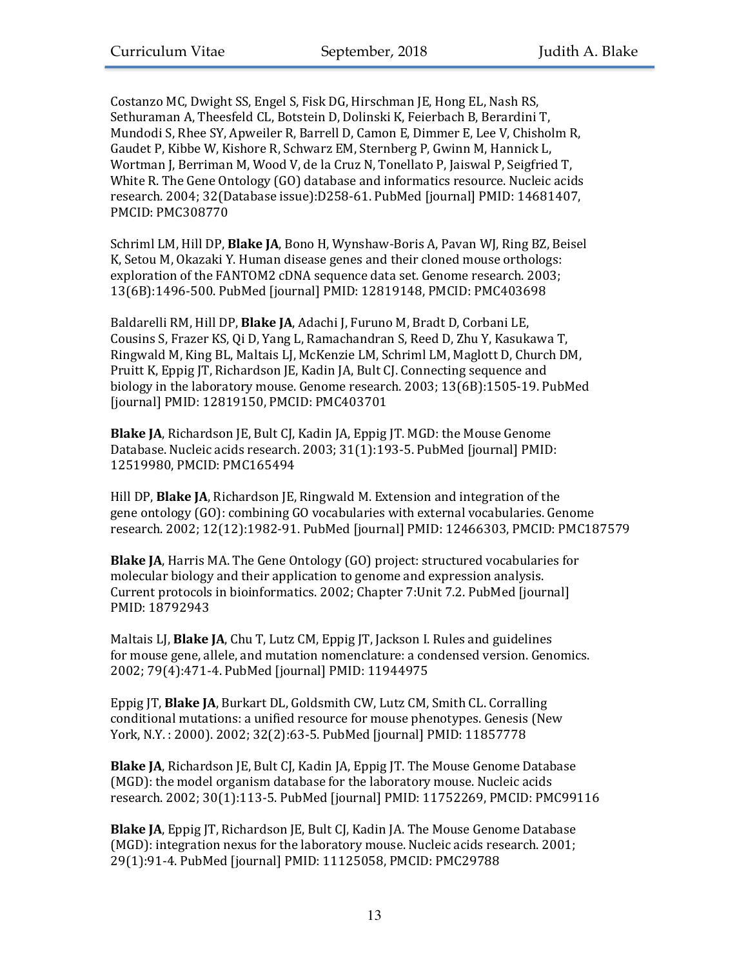Costanzo MC, Dwight SS, Engel S, Fisk DG, Hirschman JE, Hong EL, Nash RS, Sethuraman A, Theesfeld CL, Botstein D, Dolinski K, Feierbach B, Berardini T, Mundodi S, Rhee SY, Apweiler R, Barrell D, Camon E, Dimmer E, Lee V, Chisholm R, Gaudet P, Kibbe W, Kishore R, Schwarz EM, Sternberg P, Gwinn M, Hannick L, Wortman J, Berriman M, Wood V, de la Cruz N, Tonellato P, Jaiswal P, Seigfried T, White R. The Gene Ontology  $(GO)$  database and informatics resource. Nucleic acids research. 2004; 32(Database issue):D258-61. PubMed [journal] PMID: 14681407. PMCID: PMC308770

Schriml LM, Hill DP, Blake JA, Bono H, Wynshaw-Boris A, Pavan WJ, Ring BZ, Beisel K, Setou M, Okazaki Y. Human disease genes and their cloned mouse orthologs: exploration of the FANTOM2 cDNA sequence data set. Genome research. 2003; 13(6B):1496-500. PubMed [journal] PMID: 12819148, PMCID: PMC403698

Baldarelli RM, Hill DP, Blake JA, Adachi J, Furuno M, Bradt D, Corbani LE, Cousins S, Frazer KS, Qi D, Yang L, Ramachandran S, Reed D, Zhu Y, Kasukawa T, Ringwald M, King BL, Maltais LJ, McKenzie LM, Schriml LM, Maglott D, Church DM, Pruitt K, Eppig JT, Richardson JE, Kadin JA, Bult CJ. Connecting sequence and biology in the laboratory mouse. Genome research.  $2003$ ;  $13(6B)$ :1505-19. PubMed [journal] PMID: 12819150, PMCID: PMC403701

**Blake JA**, Richardson JE, Bult CJ, Kadin JA, Eppig JT. MGD: the Mouse Genome Database. Nucleic acids research. 2003; 31(1):193-5. PubMed [journal] PMID: 12519980, PMCID: PMC165494

Hill DP, **Blake JA**, Richardson JE, Ringwald M. Extension and integration of the gene ontology (GO): combining GO vocabularies with external vocabularies. Genome research. 2002; 12(12):1982-91. PubMed [journal] PMID: 12466303, PMCID: PMC187579

**Blake JA**, Harris MA. The Gene Ontology (GO) project: structured vocabularies for molecular biology and their application to genome and expression analysis. Current protocols in bioinformatics. 2002; Chapter 7:Unit 7.2. PubMed [journal] PMID: 18792943

Maltais LJ, **Blake JA**, Chu T, Lutz CM, Eppig JT, Jackson I. Rules and guidelines for mouse gene, allele, and mutation nomenclature: a condensed version. Genomics. 2002; 79(4):471-4. PubMed [journal] PMID: 11944975

Eppig JT, **Blake JA**, Burkart DL, Goldsmith CW, Lutz CM, Smith CL. Corralling conditional mutations: a unified resource for mouse phenotypes. Genesis (New York, N.Y.: 2000). 2002; 32(2):63-5. PubMed [journal] PMID: 11857778

**Blake JA**, Richardson JE, Bult CJ, Kadin JA, Eppig JT. The Mouse Genome Database (MGD): the model organism database for the laboratory mouse. Nucleic acids research. 2002; 30(1):113-5. PubMed [journal] PMID: 11752269, PMCID: PMC99116

**Blake JA**, Eppig JT, Richardson JE, Bult CJ, Kadin JA. The Mouse Genome Database (MGD): integration nexus for the laboratory mouse. Nucleic acids research. 2001; 29(1):91-4. PubMed [journal] PMID: 11125058, PMCID: PMC29788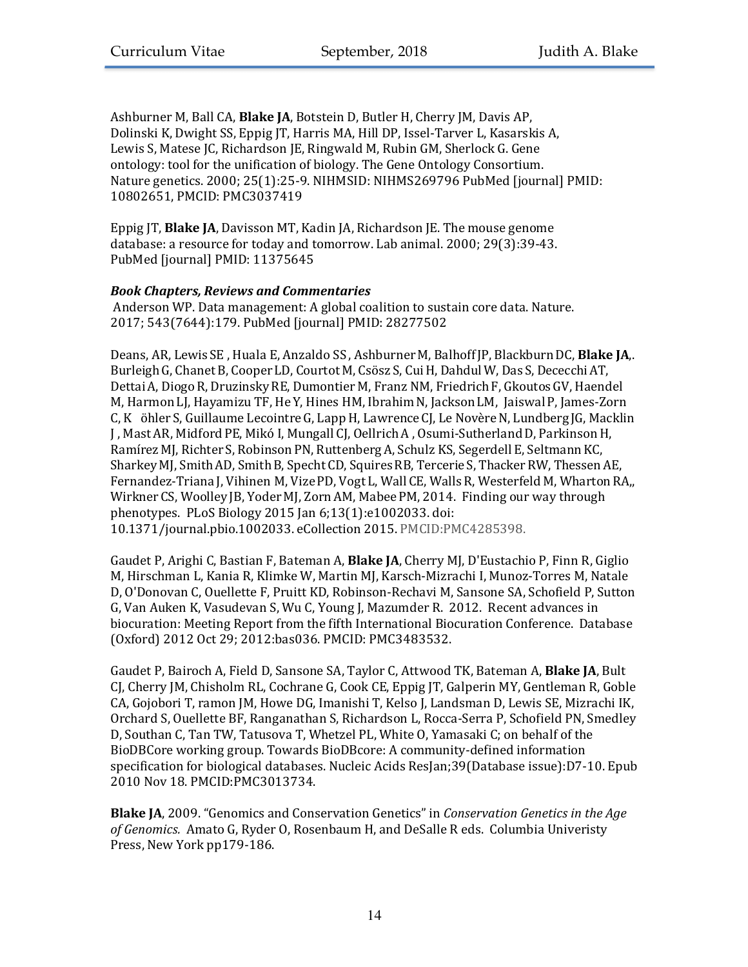Ashburner M, Ball CA, Blake JA, Botstein D, Butler H, Cherry JM, Davis AP, Dolinski K, Dwight SS, Eppig JT, Harris MA, Hill DP, Issel-Tarver L, Kasarskis A, Lewis S, Matese JC, Richardson JE, Ringwald M, Rubin GM, Sherlock G. Gene ontology: tool for the unification of biology. The Gene Ontology Consortium. Nature genetics. 2000; 25(1):25-9. NIHMSID: NIHMS269796 PubMed [journal] PMID: 10802651, PMCID: PMC3037419

Eppig IT, **Blake JA**, Davisson MT, Kadin JA, Richardson JE. The mouse genome database: a resource for today and tomorrow. Lab animal. 2000; 29(3):39-43. PubMed [journal] PMID: 11375645

# *Book Chapters, Reviews and Commentaries*

Anderson WP. Data management: A global coalition to sustain core data. Nature. 2017; 543(7644):179. PubMed [journal] PMID: 28277502

Deans, AR, Lewis SE, Huala E, Anzaldo SS, Ashburner M, Balhoff JP, Blackburn DC, Blake JA,. Burleigh G, Chanet B, Cooper LD, Courtot M, Csösz S, Cui H, Dahdul W, Das S, Dececchi AT, Dettai A, Diogo R, Druzinsky RE, Dumontier M, Franz NM, Friedrich F, Gkoutos GV, Haendel M, Harmon LJ, Hayamizu TF, He Y, Hines HM, Ibrahim N, Jackson LM, Jaiswal P, James-Zorn C, K öhler S, Guillaume Lecointre G, Lapp H, Lawrence CJ, Le Novère N, Lundberg JG, Macklin J, Mast AR, Midford PE, Mikó I, Mungall CJ, Oellrich A, Osumi-Sutherland D, Parkinson H, Ramírez MJ, Richter S, Robinson PN, Ruttenberg A, Schulz KS, Segerdell E, Seltmann KC, Sharkey MJ, Smith AD, Smith B, Specht CD, Squires RB, Tercerie S, Thacker RW, Thessen AE, Fernandez-Triana J, Vihinen M, Vize PD, Vogt L, Wall CE, Walls R, Westerfeld M, Wharton RA,, Wirkner CS, Woolley JB, Yoder MJ, Zorn AM, Mabee PM, 2014. Finding our way through phenotypes. PLoS Biology 2015  $\pi$  6;13(1):e1002033. doi: 10.1371/journal.pbio.1002033. eCollection 2015. PMCID:PMC4285398.

Gaudet P, Arighi C, Bastian F, Bateman A, **Blake JA**, Cherry MJ, D'Eustachio P, Finn R, Giglio M, Hirschman L, Kania R, Klimke W, Martin MJ, Karsch-Mizrachi I, Munoz-Torres M, Natale D, O'Donovan C, Quellette F, Pruitt KD, Robinson-Rechavi M, Sansone SA, Schofield P, Sutton G, Van Auken K, Vasudevan S, Wu C, Young J, Mazumder R. 2012. Recent advances in biocuration: Meeting Report from the fifth International Biocuration Conference. Database (Oxford) 2012 Oct 29; 2012:bas036. PMCID: PMC3483532.

Gaudet P, Bairoch A, Field D, Sansone SA, Taylor C, Attwood TK, Bateman A, Blake JA, Bult CJ, Cherry JM, Chisholm RL, Cochrane G, Cook CE, Eppig JT, Galperin MY, Gentleman R, Goble CA, Gojobori T, ramon JM, Howe DG, Imanishi T, Kelso J, Landsman D, Lewis SE, Mizrachi IK, Orchard S, Ouellette BF, Ranganathan S, Richardson L, Rocca-Serra P, Schofield PN, Smedley D, Southan C, Tan TW, Tatusova T, Whetzel PL, White O, Yamasaki C; on behalf of the BioDBCore working group. Towards BioDBcore: A community-defined information specification for biological databases. Nucleic Acids ResJan;39(Database issue):D7-10. Epub 2010 Nov 18. PMCID:PMC3013734.

**Blake JA**, 2009. "Genomics and Conservation Genetics" in *Conservation Genetics in the Age* of Genomics. Amato G, Ryder O, Rosenbaum H, and DeSalle R eds. Columbia Univeristy Press, New York pp179-186.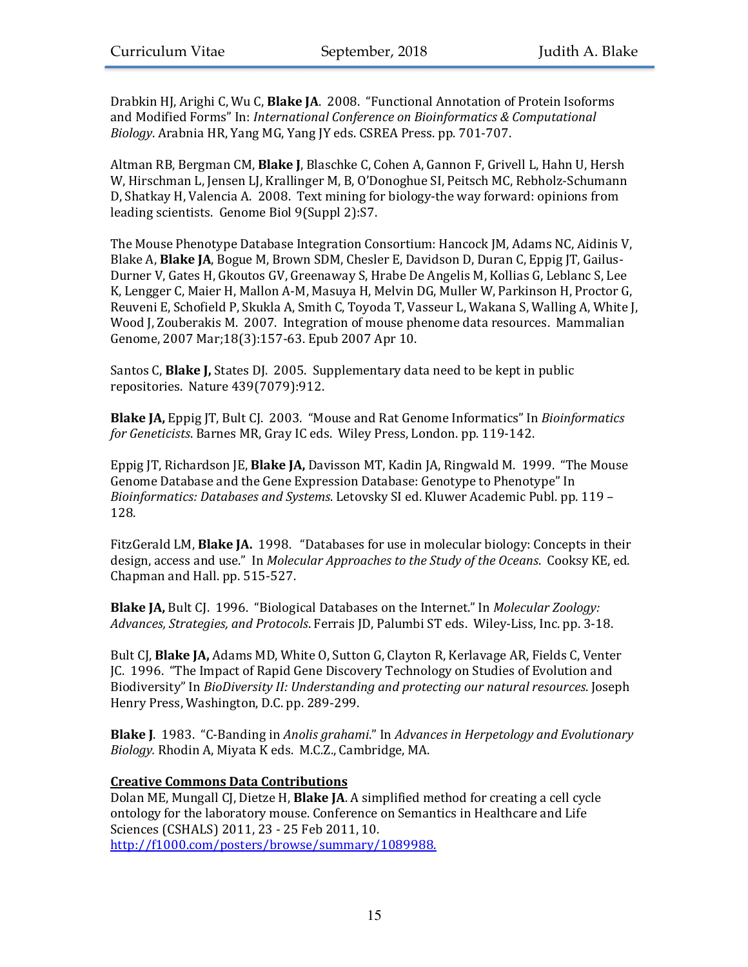Drabkin HJ, Arighi C, Wu C, Blake JA. 2008. "Functional Annotation of Protein Isoforms and Modified Forms" In: *International Conference on Bioinformatics & Computational* Biology. Arabnia HR, Yang MG, Yang JY eds. CSREA Press. pp. 701-707.

Altman RB, Bergman CM, **Blake J**, Blaschke C, Cohen A, Gannon F, Grivell L, Hahn U, Hersh W, Hirschman L, Jensen LJ, Krallinger M, B, O'Donoghue SI, Peitsch MC, Rebholz-Schumann D, Shatkay H, Valencia A. 2008. Text mining for biology-the way forward: opinions from leading scientists. Genome Biol 9(Suppl 2):S7.

The Mouse Phenotype Database Integration Consortium: Hancock JM, Adams NC, Aidinis V, Blake A, **Blake JA**, Bogue M, Brown SDM, Chesler E, Davidson D, Duran C, Eppig JT, Gailus-Durner V, Gates H, Gkoutos GV, Greenaway S, Hrabe De Angelis M, Kollias G, Leblanc S, Lee K, Lengger C, Maier H, Mallon A-M, Masuya H, Melvin DG, Muller W, Parkinson H, Proctor G, Reuveni E, Schofield P, Skukla A, Smith C, Toyoda T, Vasseur L, Wakana S, Walling A, White J, Wood J, Zouberakis M. 2007. Integration of mouse phenome data resources. Mammalian Genome, 2007 Mar;18(3):157-63. Epub 2007 Apr 10.

Santos C, **Blake J,** States DJ. 2005. Supplementary data need to be kept in public repositories. Nature 439(7079):912.

**Blake JA, Eppig JT, Bult CJ. 2003. "Mouse and Rat Genome Informatics" In** *Bioinformatics for Geneticists*. Barnes MR, Gray IC eds. Wiley Press, London. pp. 119-142.

Eppig JT, Richardson JE, **Blake JA**, Davisson MT, Kadin JA, Ringwald M. 1999. "The Mouse Genome Database and the Gene Expression Database: Genotype to Phenotype" In *Bioinformatics: Databases and Systems.* Letovsky SI ed. Kluwer Academic Publ. pp. 119 -128.

FitzGerald LM, **Blake JA.** 1998. "Databases for use in molecular biology: Concepts in their design, access and use." In *Molecular Approaches to the Study of the Oceans*. Cooksy KE, ed. Chapman and Hall. pp. 515-527.

**Blake JA,** Bult CJ. 1996. "Biological Databases on the Internet." In *Molecular Zoology:* Advances, Strategies, and Protocols. Ferrais JD, Palumbi ST eds. Wiley-Liss, Inc. pp. 3-18.

Bult CJ, **Blake JA,** Adams MD, White O, Sutton G, Clayton R, Kerlavage AR, Fields C, Venter JC. 1996. "The Impact of Rapid Gene Discovery Technology on Studies of Evolution and Biodiversity" In *BioDiversity II: Understanding and protecting our natural resources*. Joseph Henry Press, Washington, D.C. pp. 289-299.

**Blake J.** 1983. "C-Banding in *Anolis grahami."* In *Advances in Herpetology and Evolutionary Biology.* Rhodin A, Miyata K eds. M.C.Z., Cambridge, MA.

# **Creative Commons Data Contributions**

Dolan ME, Mungall CJ, Dietze H, **Blake JA**. A simplified method for creating a cell cycle ontology for the laboratory mouse. Conference on Semantics in Healthcare and Life Sciences (CSHALS) 2011, 23 - 25 Feb 2011, 10. http://f1000.com/posters/browse/summary/1089988.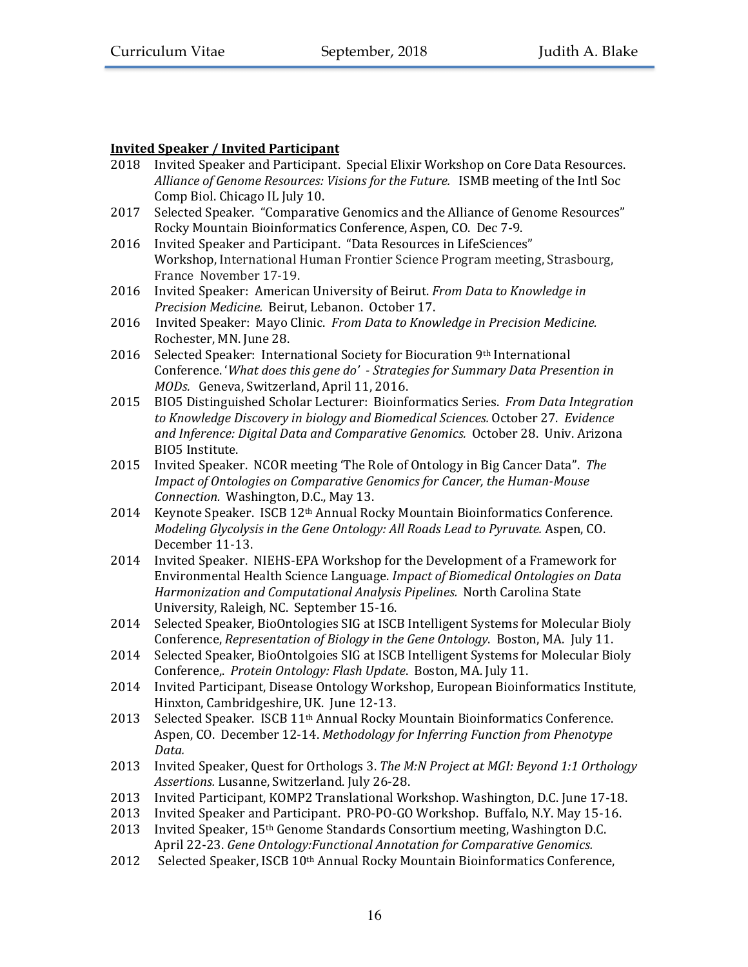# **Invited Speaker / Invited Participant**

- 2018 Invited Speaker and Participant. Special Elixir Workshop on Core Data Resources. Alliance of Genome Resources: Visions for the Future. ISMB meeting of the Intl Soc Comp Biol. Chicago IL July 10.
- 2017 Selected Speaker. "Comparative Genomics and the Alliance of Genome Resources" Rocky Mountain Bioinformatics Conference, Aspen, CO. Dec 7-9.
- 2016 Invited Speaker and Participant. "Data Resources in LifeSciences" Workshop, International Human Frontier Science Program meeting, Strasbourg, France November 17-19.
- 2016 Invited Speaker: American University of Beirut. *From Data to Knowledge in Precision Medicine.* Beirut, Lebanon. October 17.
- 2016 Invited Speaker: Mayo Clinic. From Data to Knowledge in Precision Medicine. Rochester, MN. June 28.
- 2016 Selected Speaker: International Society for Biocuration  $9<sup>th</sup>$  International Conference. 'What does this gene do' - Strategies for Summary Data Presention in *MODs.* Geneva, Switzerland, April 11, 2016.
- 2015 BIO5 Distinguished Scholar Lecturer: Bioinformatics Series. From Data Integration to Knowledge Discovery in biology and Biomedical Sciences. October 27. Evidence *and Inference: Digital Data and Comparative Genomics.* October 28. Univ. Arizona BIO5 Institute.
- 2015 Invited Speaker. NCOR meeting 'The Role of Ontology in Big Cancer Data". The *Impact of Ontologies on Comparative Genomics for Cancer, the Human-Mouse Connection.* Washington, D.C., May 13.
- 2014 Keynote Speaker. ISCB 12<sup>th</sup> Annual Rocky Mountain Bioinformatics Conference. *Modeling Glycolysis in the Gene Ontology: All Roads Lead to Pyruvate.* Aspen, CO. December 11-13.
- 2014 Invited Speaker. NIEHS-EPA Workshop for the Development of a Framework for Environmental Health Science Language. *Impact of Biomedical Ontologies on Data Harmonization and Computational Analysis Pipelines.* North Carolina State University, Raleigh, NC. September 15-16.
- 2014 Selected Speaker, BioOntologies SIG at ISCB Intelligent Systems for Molecular Bioly Conference, *Representation of Biology in the Gene Ontology*. Boston, MA. July 11.
- 2014 Selected Speaker, BioOntolgoies SIG at ISCB Intelligent Systems for Molecular Bioly Conference, Protein Ontology: Flash Update. Boston, MA. July 11.
- 2014 Invited Participant, Disease Ontology Workshop, European Bioinformatics Institute, Hinxton, Cambridgeshire, UK. June 12-13.
- 2013 Selected Speaker. ISCB 11<sup>th</sup> Annual Rocky Mountain Bioinformatics Conference. Aspen, CO. December 12-14. *Methodology for Inferring Function from Phenotype Data.*
- 2013 Invited Speaker, Quest for Orthologs 3. The M:N Project at MGI: Beyond 1:1 Orthology Assertions. Lusanne, Switzerland. July 26-28.
- 2013 Invited Participant, KOMP2 Translational Workshop. Washington, D.C. June 17-18.
- 2013 Invited Speaker and Participant. PRO-PO-GO Workshop. Buffalo, N.Y. May 15-16.
- 2013 Invited Speaker,  $15<sup>th</sup>$  Genome Standards Consortium meeting, Washington D.C. April 22-23. *Gene Ontology:Functional Annotation for Comparative Genomics.*
- $2012$  Selected Speaker, ISCB  $10<sup>th</sup>$  Annual Rocky Mountain Bioinformatics Conference,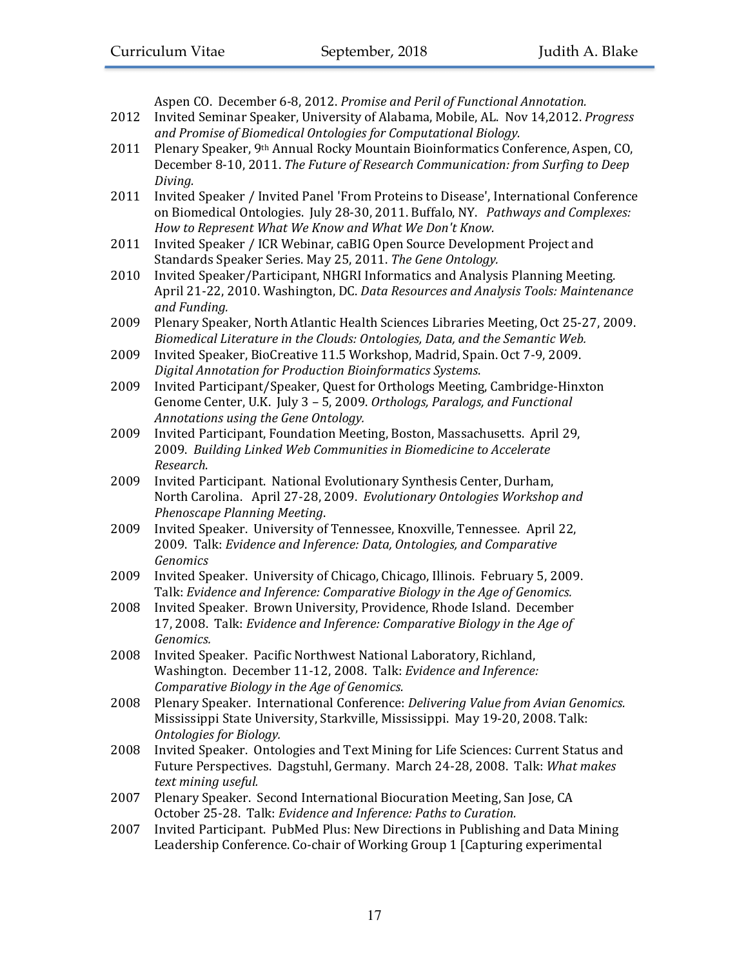Aspen CO. December 6-8, 2012. Promise and Peril of Functional Annotation.

- 2012 Invited Seminar Speaker, University of Alabama, Mobile, AL. Nov 14,2012. *Progress* and Promise of Biomedical Ontologies for Computational Biology.
- 2011 Plenary Speaker, 9<sup>th</sup> Annual Rocky Mountain Bioinformatics Conference, Aspen, CO, December 8-10, 2011. *The Future of Research Communication: from Surfing to Deep Diving.*
- 2011 Invited Speaker / Invited Panel 'From Proteins to Disease', International Conference on Biomedical Ontologies. July 28-30, 2011. Buffalo, NY. Pathways and Complexes: How to Represent What We Know and What We Don't Know.
- 2011 Invited Speaker / ICR Webinar, caBIG Open Source Development Project and Standards Speaker Series. May 25, 2011. The Gene Ontology.
- 2010 Invited Speaker/Participant, NHGRI Informatics and Analysis Planning Meeting. April 21-22, 2010. Washington, DC. Data Resources and Analysis Tools: Maintenance *and Funding.*
- 2009 Plenary Speaker, North Atlantic Health Sciences Libraries Meeting, Oct 25-27, 2009. *Biomedical Literature in the Clouds: Ontologies, Data, and the Semantic Web.*
- 2009 Invited Speaker, BioCreative 11.5 Workshop, Madrid, Spain. Oct 7-9, 2009. *Digital Annotation for Production Bioinformatics Systems*.
- 2009 Invited Participant/Speaker, Quest for Orthologs Meeting, Cambridge-Hinxton Genome Center, U.K. July 3 - 5, 2009. Orthologs, Paralogs, and Functional *Annotations using the Gene Ontology.*
- 2009 Invited Participant, Foundation Meeting, Boston, Massachusetts. April 29, 2009. Building Linked Web Communities in Biomedicine to Accelerate *Research*.
- 2009 Invited Participant. National Evolutionary Synthesis Center, Durham, North Carolina. April 27-28, 2009. *Evolutionary Ontologies Workshop and Phenoscape Planning Meeting*.
- 2009 Invited Speaker. University of Tennessee, Knoxville, Tennessee. April 22, 2009. Talk: *Evidence and Inference: Data, Ontologies, and Comparative Genomics*
- 2009 Invited Speaker. University of Chicago, Chicago, Illinois. February 5, 2009. Talk: *Evidence and Inference: Comparative Biology in the Age of Genomics.*
- 2008 Invited Speaker. Brown University, Providence, Rhode Island. December 17, 2008. Talk: *Evidence and Inference: Comparative Biology in the Age of Genomics.*
- 2008 Invited Speaker. Pacific Northwest National Laboratory, Richland, Washington. December 11-12, 2008. Talk: *Evidence and Inference: Comparative Biology in the Age of Genomics.*
- 2008 Plenary Speaker. International Conference: *Delivering Value from Avian Genomics.* Mississippi State University, Starkville, Mississippi. May 19-20, 2008. Talk: **Ontologies** for Biology.
- 2008 Invited Speaker. Ontologies and Text Mining for Life Sciences: Current Status and Future Perspectives. Dagstuhl, Germany. March 24-28, 2008. Talk: What makes *text mining useful.*
- 2007 Plenary Speaker. Second International Biocuration Meeting, San Jose, CA October 25-28. Talk: *Evidence and Inference: Paths to Curation.*
- 2007 Invited Participant. PubMed Plus: New Directions in Publishing and Data Mining Leadership Conference. Co-chair of Working Group 1 [Capturing experimental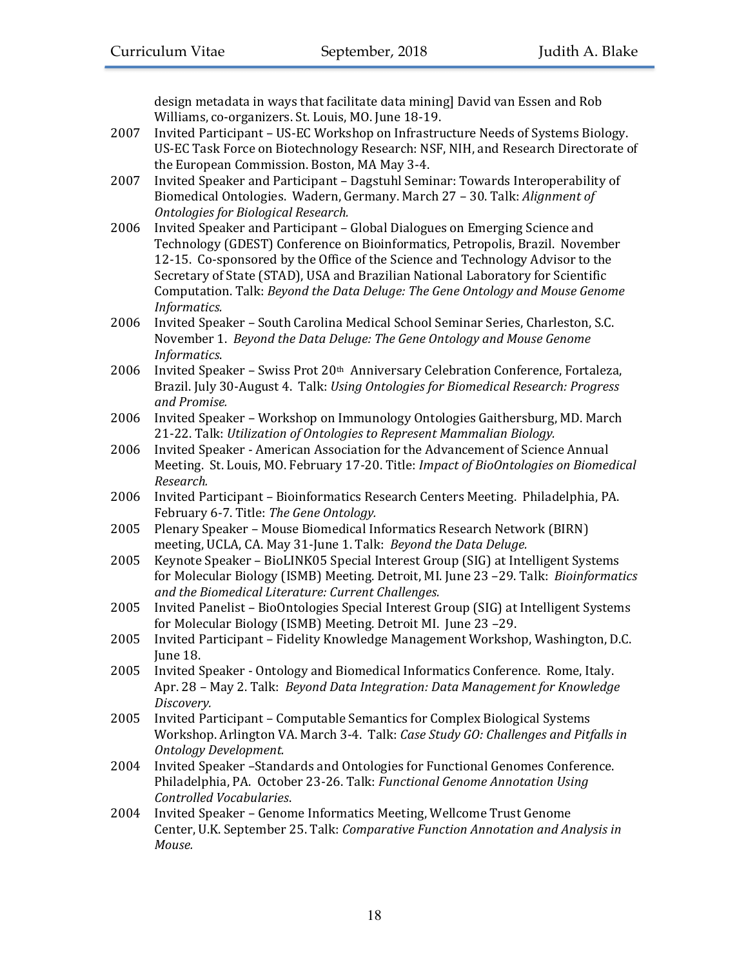design metadata in ways that facilitate data mining] David van Essen and Rob Williams, co-organizers. St. Louis, MO. June 18-19.

- 2007 Invited Participant US-EC Workshop on Infrastructure Needs of Systems Biology. US-EC Task Force on Biotechnology Research: NSF, NIH, and Research Directorate of the European Commission. Boston, MA May 3-4.
- 2007 Invited Speaker and Participant Dagstuhl Seminar: Towards Interoperability of Biomedical Ontologies. Wadern, Germany. March 27 - 30. Talk: *Alignment of Ontologies for Biological Research.*
- 2006 Invited Speaker and Participant Global Dialogues on Emerging Science and Technology (GDEST) Conference on Bioinformatics, Petropolis, Brazil. November 12-15. Co-sponsored by the Office of the Science and Technology Advisor to the Secretary of State (STAD), USA and Brazilian National Laboratory for Scientific Computation. Talk: *Beyond the Data Deluge: The Gene Ontology and Mouse Genome Informatics.*
- 2006 Invited Speaker South Carolina Medical School Seminar Series, Charleston, S.C. November 1. *Beyond the Data Deluge: The Gene Ontology and Mouse Genome Informatics*.
- $2006$  Invited Speaker Swiss Prot  $20<sup>th</sup>$  Anniversary Celebration Conference, Fortaleza, Brazil. July 30-August 4. Talk: *Using Ontologies for Biomedical Research: Progress and Promise.*
- 2006 Invited Speaker Workshop on Immunology Ontologies Gaithersburg, MD. March 21-22. Talk: Utilization of Ontologies to Represent Mammalian Biology.
- 2006 Invited Speaker American Association for the Advancement of Science Annual Meeting. St. Louis, MO. February 17-20. Title: *Impact of BioOntologies on Biomedical Research.*
- 2006 Invited Participant Bioinformatics Research Centers Meeting. Philadelphia, PA. February 6-7. Title: *The Gene Ontology.*
- 2005 Plenary Speaker Mouse Biomedical Informatics Research Network (BIRN) meeting, UCLA, CA. May 31-June 1. Talk: *Beyond the Data Deluge.*
- 2005 Keynote Speaker BioLINK05 Special Interest Group (SIG) at Intelligent Systems for Molecular Biology (ISMB) Meeting. Detroit, MI. June 23 -29. Talk: *Bioinformatics and the Biomedical Literature: Current Challenges.*
- 2005 Invited Panelist BioOntologies Special Interest Group (SIG) at Intelligent Systems for Molecular Biology (ISMB) Meeting. Detroit MI. June 23 -29.
- 2005 Invited Participant Fidelity Knowledge Management Workshop, Washington, D.C. June 18.
- 2005 Invited Speaker Ontology and Biomedical Informatics Conference. Rome, Italy. Apr. 28 - May 2. Talk: *Beyond Data Integration: Data Management for Knowledge Discovery.*
- 2005 Invited Participant Computable Semantics for Complex Biological Systems Workshop. Arlington VA. March 3-4. Talk: *Case Study GO: Challenges and Pitfalls in Ontology Development.*
- 2004 Invited Speaker -Standards and Ontologies for Functional Genomes Conference. Philadelphia, PA. October 23-26. Talk: *Functional Genome Annotation Using Controlled Vocabularies*.
- 2004 Invited Speaker Genome Informatics Meeting, Wellcome Trust Genome Center, U.K. September 25. Talk: *Comparative Function Annotation and Analysis in Mouse.*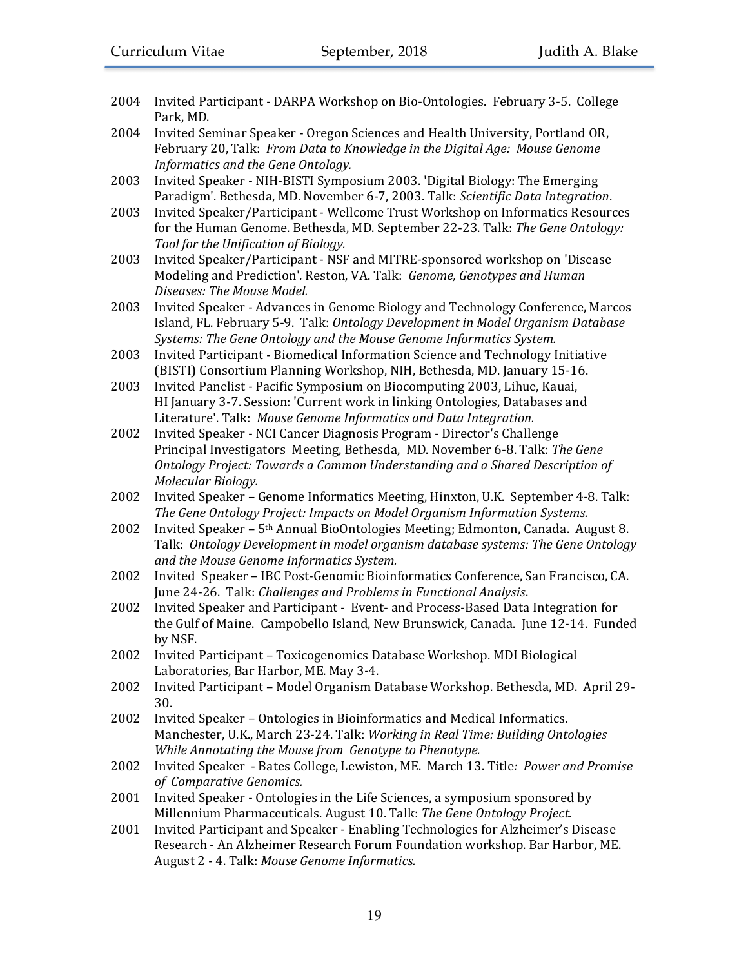- 2004 Invited Participant DARPA Workshop on Bio-Ontologies. February 3-5. College Park, MD.
- 2004 Invited Seminar Speaker Oregon Sciences and Health University, Portland OR, February 20, Talk: From Data to Knowledge in the Digital Age: Mouse Genome *Informatics and the Gene Ontology.*
- 2003 Invited Speaker NIH-BISTI Symposium 2003. 'Digital Biology: The Emerging Paradigm'. Bethesda, MD. November 6-7, 2003. Talk: *Scientific Data Integration*.
- 2003 Invited Speaker/Participant Wellcome Trust Workshop on Informatics Resources for the Human Genome. Bethesda, MD. September 22-23. Talk: The Gene Ontology: Tool for the Unification of Biology.
- 2003 Invited Speaker/Participant NSF and MITRE-sponsored workshop on 'Disease Modeling and Prediction'. Reston, VA. Talk: Genome, Genotypes and Human *Diseases: The Mouse Model.*
- 2003 Invited Speaker Advances in Genome Biology and Technology Conference, Marcos Island, FL. February 5-9. Talk: Ontology Development in Model Organism Database Systems: The Gene Ontology and the Mouse Genome Informatics System.
- 2003 Invited Participant Biomedical Information Science and Technology Initiative (BISTI) Consortium Planning Workshop, NIH, Bethesda, MD. January 15-16.
- 2003 Invited Panelist Pacific Symposium on Biocomputing 2003, Lihue, Kauai, HI January 3-7. Session: 'Current work in linking Ontologies, Databases and Literature'. Talk: Mouse Genome Informatics and Data Integration.
- 2002 Invited Speaker NCI Cancer Diagnosis Program Director's Challenge Principal Investigators Meeting, Bethesda, MD. November 6-8. Talk: The Gene *Ontology Project: Towards a Common Understanding and a Shared Description of Molecular Biology.*
- 2002 Invited Speaker Genome Informatics Meeting, Hinxton, U.K. September 4-8. Talk: The Gene Ontology Project: Impacts on Model Organism Information Systems.
- 2002 Invited Speaker  $5<sup>th</sup>$  Annual BioOntologies Meeting; Edmonton, Canada. August 8. Talk: Ontology Development in model organism database systems: The Gene Ontology *and the Mouse Genome Informatics System.*
- 2002 Invited Speaker IBC Post-Genomic Bioinformatics Conference, San Francisco, CA. June 24-26. Talk: *Challenges and Problems in Functional Analysis.*
- 2002 Invited Speaker and Participant Event- and Process-Based Data Integration for the Gulf of Maine. Campobello Island, New Brunswick, Canada. June 12-14. Funded by NSF.
- 2002 Invited Participant Toxicogenomics Database Workshop. MDI Biological Laboratories, Bar Harbor, ME. May 3-4.
- 2002 Invited Participant Model Organism Database Workshop. Bethesda, MD. April 29-30.
- 2002 Invited Speaker Ontologies in Bioinformatics and Medical Informatics. Manchester, U.K., March 23-24. Talk: *Working in Real Time: Building Ontologies While Annotating the Mouse from Genotype to Phenotype.*
- 2002 Invited Speaker Bates College, Lewiston, ME. March 13. Title: *Power and Promise of Comparative Genomics.*
- 2001 Invited Speaker Ontologies in the Life Sciences, a symposium sponsored by Millennium Pharmaceuticals. August 10. Talk: *The Gene Ontology Project*.
- 2001 Invited Participant and Speaker Enabling Technologies for Alzheimer's Disease Research - An Alzheimer Research Forum Foundation workshop. Bar Harbor, ME. August 2 - 4. Talk: *Mouse Genome Informatics.*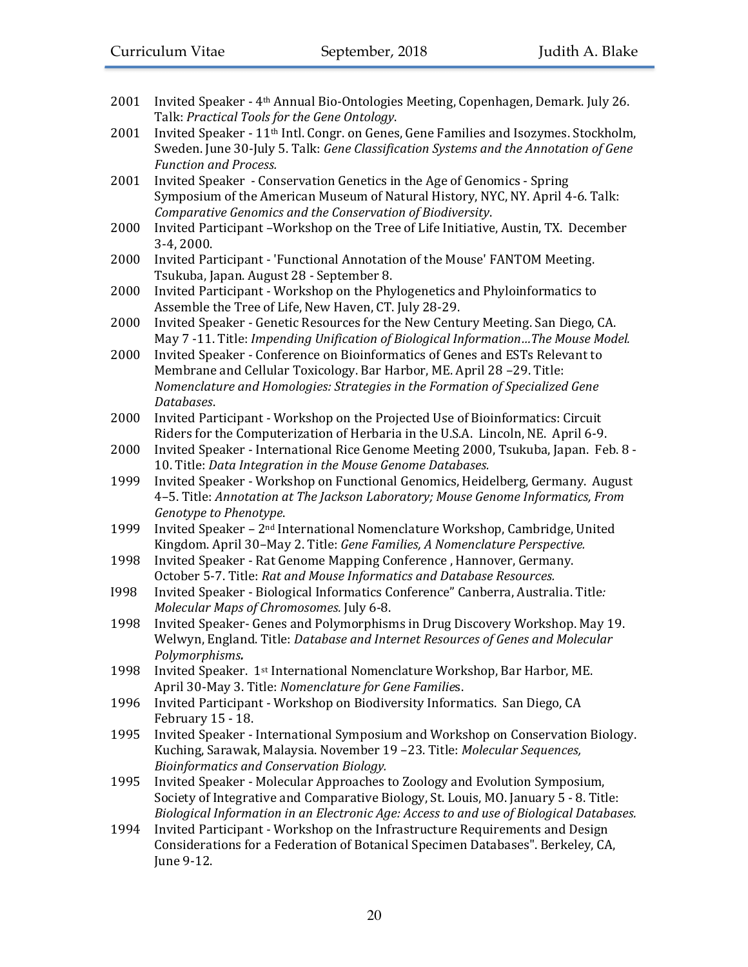| 2001 | Invited Speaker - 4 <sup>th</sup> Annual Bio-Ontologies Meeting, Copenhagen, Demark. July 26.                                                    |
|------|--------------------------------------------------------------------------------------------------------------------------------------------------|
|      | Talk: Practical Tools for the Gene Ontology.<br>Invited Speaker - 11 <sup>th</sup> Intl. Congr. on Genes, Gene Families and Isozymes. Stockholm, |
| 2001 |                                                                                                                                                  |
|      | Sweden. June 30-July 5. Talk: Gene Classification Systems and the Annotation of Gene                                                             |
|      | <b>Function and Process.</b>                                                                                                                     |
| 2001 | Invited Speaker - Conservation Genetics in the Age of Genomics - Spring                                                                          |
|      | Symposium of the American Museum of Natural History, NYC, NY. April 4-6. Talk:                                                                   |
|      | Comparative Genomics and the Conservation of Biodiversity.                                                                                       |
| 2000 | Invited Participant -Workshop on the Tree of Life Initiative, Austin, TX. December<br>3-4, 2000.                                                 |
| 2000 | Invited Participant - 'Functional Annotation of the Mouse' FANTOM Meeting.                                                                       |
|      | Tsukuba, Japan. August 28 - September 8.                                                                                                         |
| 2000 | Invited Participant - Workshop on the Phylogenetics and Phyloinformatics to                                                                      |
|      | Assemble the Tree of Life, New Haven, CT. July 28-29.                                                                                            |
| 2000 | Invited Speaker - Genetic Resources for the New Century Meeting. San Diego, CA.                                                                  |
|      | May 7 -11. Title: Impending Unification of Biological InformationThe Mouse Model.                                                                |
| 2000 | Invited Speaker - Conference on Bioinformatics of Genes and ESTs Relevant to                                                                     |
|      | Membrane and Cellular Toxicology. Bar Harbor, ME. April 28-29. Title:                                                                            |
|      | Nomenclature and Homologies: Strategies in the Formation of Specialized Gene                                                                     |
|      | Databases.                                                                                                                                       |
| 2000 | Invited Participant - Workshop on the Projected Use of Bioinformatics: Circuit                                                                   |
|      | Riders for the Computerization of Herbaria in the U.S.A. Lincoln, NE. April 6-9.                                                                 |
| 2000 | Invited Speaker - International Rice Genome Meeting 2000, Tsukuba, Japan. Feb. 8 -                                                               |
|      | 10. Title: Data Integration in the Mouse Genome Databases.                                                                                       |
| 1999 | Invited Speaker - Workshop on Functional Genomics, Heidelberg, Germany. August                                                                   |
|      | 4-5. Title: Annotation at The Jackson Laboratory; Mouse Genome Informatics, From                                                                 |
|      | Genotype to Phenotype.                                                                                                                           |
| 1999 | Invited Speaker - 2 <sup>nd</sup> International Nomenclature Workshop, Cambridge, United                                                         |
|      | Kingdom. April 30-May 2. Title: Gene Families, A Nomenclature Perspective.                                                                       |
| 1998 | Invited Speaker - Rat Genome Mapping Conference, Hannover, Germany.                                                                              |
|      | October 5-7. Title: Rat and Mouse Informatics and Database Resources.                                                                            |
| 1998 | Invited Speaker - Biological Informatics Conference" Canberra, Australia. Title:                                                                 |
|      | Molecular Maps of Chromosomes. July 6-8.                                                                                                         |
| 1998 | Invited Speaker- Genes and Polymorphisms in Drug Discovery Workshop. May 19.                                                                     |
|      | Welwyn, England. Title: Database and Internet Resources of Genes and Molecular                                                                   |
|      | Polymorphisms.                                                                                                                                   |
| 1998 | Invited Speaker. 1st International Nomenclature Workshop, Bar Harbor, ME.                                                                        |
|      | April 30-May 3. Title: Nomenclature for Gene Families.                                                                                           |
| 1996 | Invited Participant - Workshop on Biodiversity Informatics. San Diego, CA                                                                        |
|      | February 15 - 18.                                                                                                                                |
| 1995 | Invited Speaker - International Symposium and Workshop on Conservation Biology.                                                                  |
|      | Kuching, Sarawak, Malaysia. November 19 -23. Title: Molecular Sequences,                                                                         |
|      | Bioinformatics and Conservation Biology.                                                                                                         |
| 1995 | Invited Speaker - Molecular Approaches to Zoology and Evolution Symposium,                                                                       |
|      | Society of Integrative and Comparative Biology, St. Louis, MO. January 5 - 8. Title:                                                             |
|      | Biological Information in an Electronic Age: Access to and use of Biological Databases.                                                          |
| 1994 | Invited Participant - Workshop on the Infrastructure Requirements and Design                                                                     |
|      | Considerations for a Federation of Botanical Specimen Databases". Berkeley, CA,                                                                  |
|      | June 9-12.                                                                                                                                       |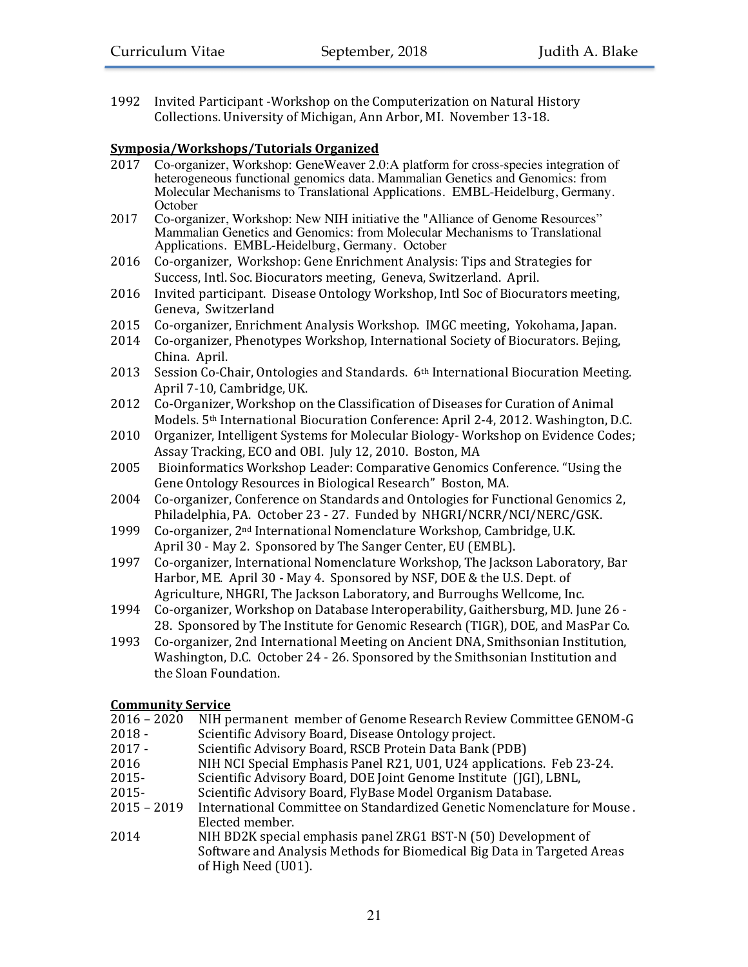1992 Invited Participant -Workshop on the Computerization on Natural History Collections. University of Michigan, Ann Arbor, MI. November 13-18.

### **Symposia/Workshops/Tutorials Organized**

- 2017 Co-organizer, Workshop: GeneWeaver 2.0:A platform for cross-species integration of heterogeneous functional genomics data. Mammalian Genetics and Genomics: from Molecular Mechanisms to Translational Applications. EMBL-Heidelburg, Germany. **October**
- 2017 Co-organizer, Workshop: New NIH initiative the "Alliance of Genome Resources" Mammalian Genetics and Genomics: from Molecular Mechanisms to Translational Applications. EMBL-Heidelburg, Germany. October
- 2016 Co-organizer, Workshop: Gene Enrichment Analysis: Tips and Strategies for Success, Intl. Soc. Biocurators meeting, Geneva, Switzerland. April.
- 2016 Invited participant. Disease Ontology Workshop, Intl Soc of Biocurators meeting. Geneva, Switzerland
- 2015 Co-organizer, Enrichment Analysis Workshop. IMGC meeting, Yokohama, Japan.
- 2014 Co-organizer, Phenotypes Workshop, International Society of Biocurators. Bejing, China. April.
- 2013 Session Co-Chair, Ontologies and Standards. 6<sup>th</sup> International Biocuration Meeting. April 7-10, Cambridge, UK.
- 2012 Co-Organizer, Workshop on the Classification of Diseases for Curation of Animal Models. 5<sup>th</sup> International Biocuration Conference: April 2-4, 2012. Washington, D.C.
- 2010 Organizer, Intelligent Systems for Molecular Biology- Workshop on Evidence Codes; Assay Tracking, ECO and OBI. July 12, 2010. Boston, MA
- 2005 Bioinformatics Workshop Leader: Comparative Genomics Conference. "Using the Gene Ontology Resources in Biological Research" Boston, MA.
- 2004 Co-organizer, Conference on Standards and Ontologies for Functional Genomics 2, Philadelphia, PA. October 23 - 27. Funded by NHGRI/NCRR/NCI/NERC/GSK.
- 1999 Co-organizer,  $2<sup>nd</sup>$  International Nomenclature Workshop, Cambridge, U.K. April 30 - May 2. Sponsored by The Sanger Center, EU (EMBL).
- 1997 Co-organizer, International Nomenclature Workshop, The Jackson Laboratory, Bar Harbor, ME. April 30 - May 4. Sponsored by NSF, DOE & the U.S. Dept. of Agriculture, NHGRI, The Jackson Laboratory, and Burroughs Wellcome, Inc.
- 1994 Co-organizer, Workshop on Database Interoperability, Gaithersburg, MD. June 26 -28. Sponsored by The Institute for Genomic Research (TIGR), DOE, and MasPar Co.
- 1993 Co-organizer, 2nd International Meeting on Ancient DNA, Smithsonian Institution, Washington, D.C. October 24 - 26. Sponsored by the Smithsonian Institution and the Sloan Foundation.

# **Community Service**

- 2016 2020 NIH permanent member of Genome Research Review Committee GENOM-G
- 2018 Scientific Advisory Board, Disease Ontology project.
- 2017 Scientific Advisory Board, RSCB Protein Data Bank (PDB)
- 2016 NIH NCI Special Emphasis Panel R21, U01, U24 applications. Feb 23-24.
- 2015- Scientific Advisory Board, DOE Joint Genome Institute (JGI), LBNL,
- 2015- Scientific Advisory Board, FlyBase Model Organism Database.
- 2015 2019 International Committee on Standardized Genetic Nomenclature for Mouse. Elected member.
- 2014 NIH BD2K special emphasis panel ZRG1 BST-N (50) Development of Software and Analysis Methods for Biomedical Big Data in Targeted Areas of High Need (U01).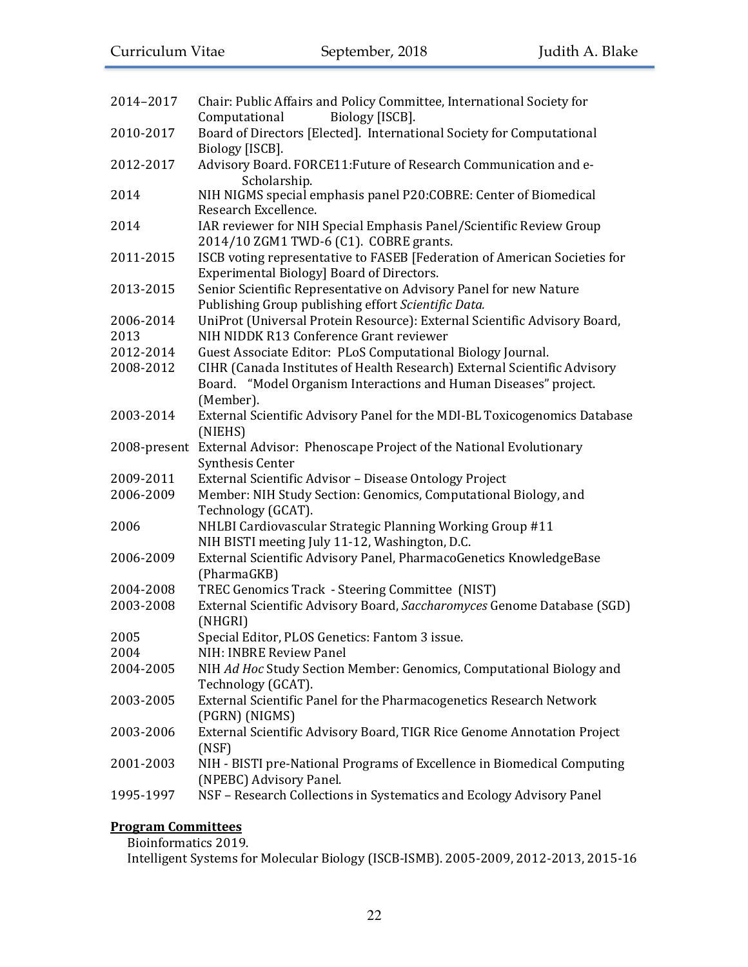| 2014-2017         | Chair: Public Affairs and Policy Committee, International Society for<br>Computational<br>Biology [ISCB].                                                 |
|-------------------|-----------------------------------------------------------------------------------------------------------------------------------------------------------|
| 2010-2017         | Board of Directors [Elected]. International Society for Computational<br>Biology [ISCB].                                                                  |
| 2012-2017         | Advisory Board. FORCE11: Future of Research Communication and e-<br>Scholarship.                                                                          |
| 2014              | NIH NIGMS special emphasis panel P20:COBRE: Center of Biomedical<br>Research Excellence.                                                                  |
| 2014              | IAR reviewer for NIH Special Emphasis Panel/Scientific Review Group<br>2014/10 ZGM1 TWD-6 (C1). COBRE grants.                                             |
| 2011-2015         | ISCB voting representative to FASEB [Federation of American Societies for<br>Experimental Biology] Board of Directors.                                    |
| 2013-2015         | Senior Scientific Representative on Advisory Panel for new Nature<br>Publishing Group publishing effort Scientific Data.                                  |
| 2006-2014<br>2013 | UniProt (Universal Protein Resource): External Scientific Advisory Board,<br>NIH NIDDK R13 Conference Grant reviewer                                      |
| 2012-2014         | Guest Associate Editor: PLoS Computational Biology Journal.                                                                                               |
| 2008-2012         | CIHR (Canada Institutes of Health Research) External Scientific Advisory<br>Board. "Model Organism Interactions and Human Diseases" project.<br>(Member). |
| 2003-2014         | External Scientific Advisory Panel for the MDI-BL Toxicogenomics Database<br>(NIEHS)                                                                      |
|                   | 2008-present External Advisor: Phenoscape Project of the National Evolutionary<br>Synthesis Center                                                        |
| 2009-2011         | External Scientific Advisor - Disease Ontology Project                                                                                                    |
| 2006-2009         | Member: NIH Study Section: Genomics, Computational Biology, and<br>Technology (GCAT).                                                                     |
| 2006              | NHLBI Cardiovascular Strategic Planning Working Group #11<br>NIH BISTI meeting July 11-12, Washington, D.C.                                               |
| 2006-2009         | External Scientific Advisory Panel, PharmacoGenetics KnowledgeBase<br>(PharmaGKB)                                                                         |
| 2004-2008         | TREC Genomics Track - Steering Committee (NIST)                                                                                                           |
| 2003-2008         | External Scientific Advisory Board, Saccharomyces Genome Database (SGD)<br>(NHGRI)                                                                        |
| 2005              | Special Editor, PLOS Genetics: Fantom 3 issue.                                                                                                            |
| 2004              | NIH: INBRE Review Panel                                                                                                                                   |
| 2004-2005         | NIH Ad Hoc Study Section Member: Genomics, Computational Biology and<br>Technology (GCAT).                                                                |
| 2003-2005         | External Scientific Panel for the Pharmacogenetics Research Network<br>(PGRN) (NIGMS)                                                                     |
| 2003-2006         | External Scientific Advisory Board, TIGR Rice Genome Annotation Project<br>(NSF)                                                                          |
| 2001-2003         | NIH - BISTI pre-National Programs of Excellence in Biomedical Computing<br>(NPEBC) Advisory Panel.                                                        |
| 1995-1997         | NSF - Research Collections in Systematics and Ecology Advisory Panel                                                                                      |

# **Program Committees**

Bioinformatics 2019.

Intelligent Systems for Molecular Biology (ISCB-ISMB). 2005-2009, 2012-2013, 2015-16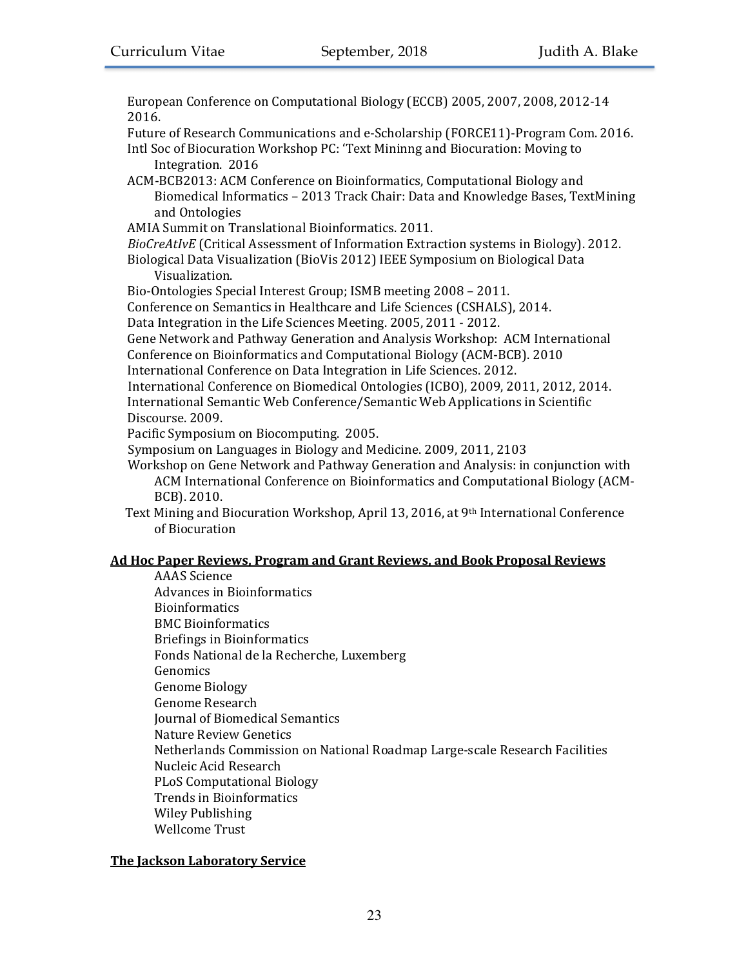European Conference on Computational Biology (ECCB) 2005, 2007, 2008, 2012-14 2016.

Future of Research Communications and e-Scholarship (FORCE11)-Program Com. 2016.

- Intl Soc of Biocuration Workshop PC: 'Text Mininng and Biocuration: Moving to Integration. 2016
- ACM-BCB2013: ACM Conference on Bioinformatics, Computational Biology and Biomedical Informatics - 2013 Track Chair: Data and Knowledge Bases, TextMining and Ontologies
- AMIA Summit on Translational Bioinformatics. 2011.
- *BioCreAtIvE* (Critical Assessment of Information Extraction systems in Biology). 2012.
- Biological Data Visualization (BioVis 2012) IEEE Symposium on Biological Data Visualization.

Bio-Ontologies Special Interest Group; ISMB meeting 2008 - 2011.

Conference on Semantics in Healthcare and Life Sciences (CSHALS), 2014.

Data Integration in the Life Sciences Meeting. 2005, 2011 - 2012.

Gene Network and Pathway Generation and Analysis Workshop: ACM International Conference on Bioinformatics and Computational Biology (ACM-BCB). 2010

International Conference on Data Integration in Life Sciences. 2012.

International Conference on Biomedical Ontologies (ICBO), 2009, 2011, 2012, 2014. International Semantic Web Conference/Semantic Web Applications in Scientific Discourse. 2009.

Pacific Symposium on Biocomputing. 2005.

Symposium on Languages in Biology and Medicine. 2009, 2011, 2103

Workshop on Gene Network and Pathway Generation and Analysis: in conjunction with ACM International Conference on Bioinformatics and Computational Biology (ACM-BCB). 2010.

Text Mining and Biocuration Workshop, April 13, 2016, at  $9<sup>th</sup>$  International Conference of Biocuration

# **Ad Hoc Paper Reviews, Program and Grant Reviews, and Book Proposal Reviews**

AAAS Science Advances in Bioinformatics Bioinformatics BMC Bioinformatics Briefings in Bioinformatics Fonds National de la Recherche, Luxemberg Genomics Genome Biology Genome Research Journal of Biomedical Semantics Nature Review Genetics Netherlands Commission on National Roadmap Large-scale Research Facilities Nucleic Acid Research PLoS Computational Biology Trends in Bioinformatics Wiley Publishing Wellcome Trust

# **The Jackson Laboratory Service**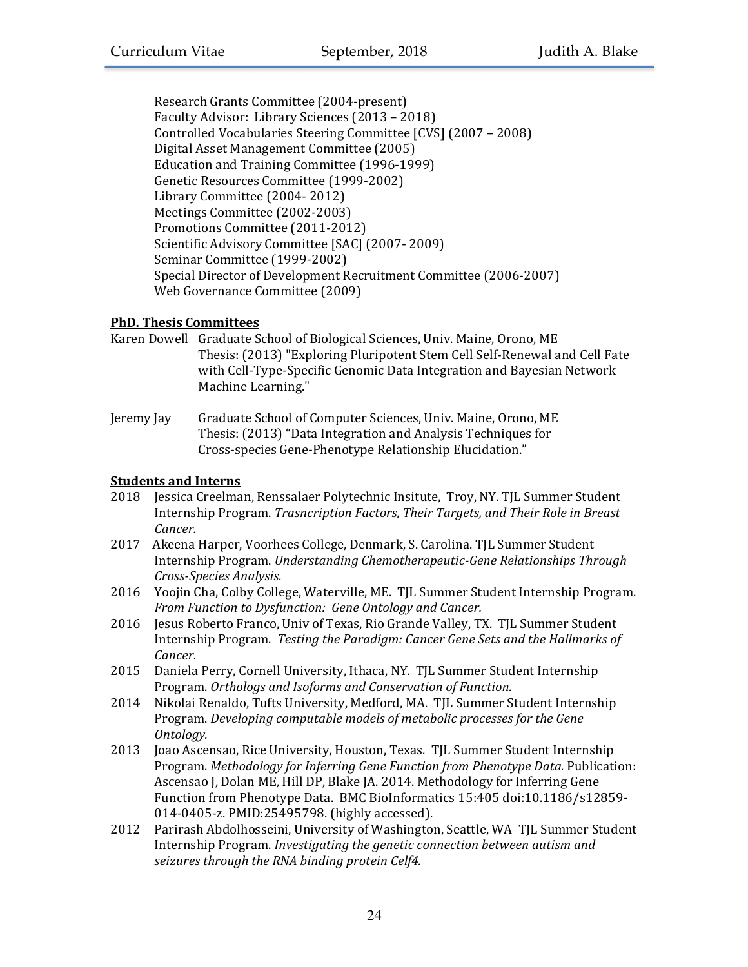Research Grants Committee (2004-present) Faculty Advisor: Library Sciences (2013 – 2018) Controlled Vocabularies Steering Committee [CVS] (2007 - 2008) Digital Asset Management Committee (2005) Education and Training Committee (1996-1999) Genetic Resources Committee (1999-2002) Library Committee (2004-2012) Meetings Committee (2002-2003) Promotions Committee (2011-2012) Scientific Advisory Committee [SAC] (2007-2009) Seminar Committee (1999-2002) Special Director of Development Recruitment Committee (2006-2007) Web Governance Committee (2009)

# **PhD. Thesis Committees**

- Karen Dowell Graduate School of Biological Sciences, Univ. Maine, Orono, ME Thesis: (2013) "Exploring Pluripotent Stem Cell Self-Renewal and Cell Fate with Cell-Type-Specific Genomic Data Integration and Bayesian Network Machine Learning."
- Jeremy Jay Graduate School of Computer Sciences, Univ. Maine, Orono, ME Thesis: (2013) "Data Integration and Analysis Techniques for Cross-species Gene-Phenotype Relationship Elucidation."

## **Students and Interns**

- 2018 Jessica Creelman, Renssalaer Polytechnic Insitute, Troy, NY. TJL Summer Student Internship Program. *Trasncription Factors, Their Targets, and Their Role in Breast Cancer.*
- 2017 Akeena Harper, Voorhees College, Denmark, S. Carolina. TJL Summer Student Internship Program. *Understanding Chemotherapeutic-Gene Relationships Through Cross-Species Analysis.*
- 2016 Yoojin Cha, Colby College, Waterville, ME. TIL Summer Student Internship Program. *From Function to Dysfunction: Gene Ontology and Cancer.*
- 2016 Jesus Roberto Franco, Univ of Texas, Rio Grande Valley, TX. TJL Summer Student Internship Program. *Testing the Paradigm: Cancer Gene Sets and the Hallmarks of Cancer.*
- 2015 Daniela Perry, Cornell University, Ithaca, NY. TJL Summer Student Internship Program. Orthologs and Isoforms and Conservation of Function.
- 2014 Nikolai Renaldo, Tufts University, Medford, MA. TJL Summer Student Internship Program. Developing computable models of metabolic processes for the Gene *Ontology.*
- 2013 Joao Ascensao, Rice University, Houston, Texas. TJL Summer Student Internship Program. *Methodology for Inferring Gene Function from Phenotype Data.* Publication: Ascensao J, Dolan ME, Hill DP, Blake JA. 2014. Methodology for Inferring Gene Function from Phenotype Data. BMC BioInformatics 15:405 doi:10.1186/s12859-014-0405-z. PMID:25495798. (highly accessed).
- 2012 Parirash Abdolhosseini, University of Washington, Seattle, WA TJL Summer Student Internship Program. *Investigating the genetic connection between autism and* seizures through the RNA binding protein Celf4.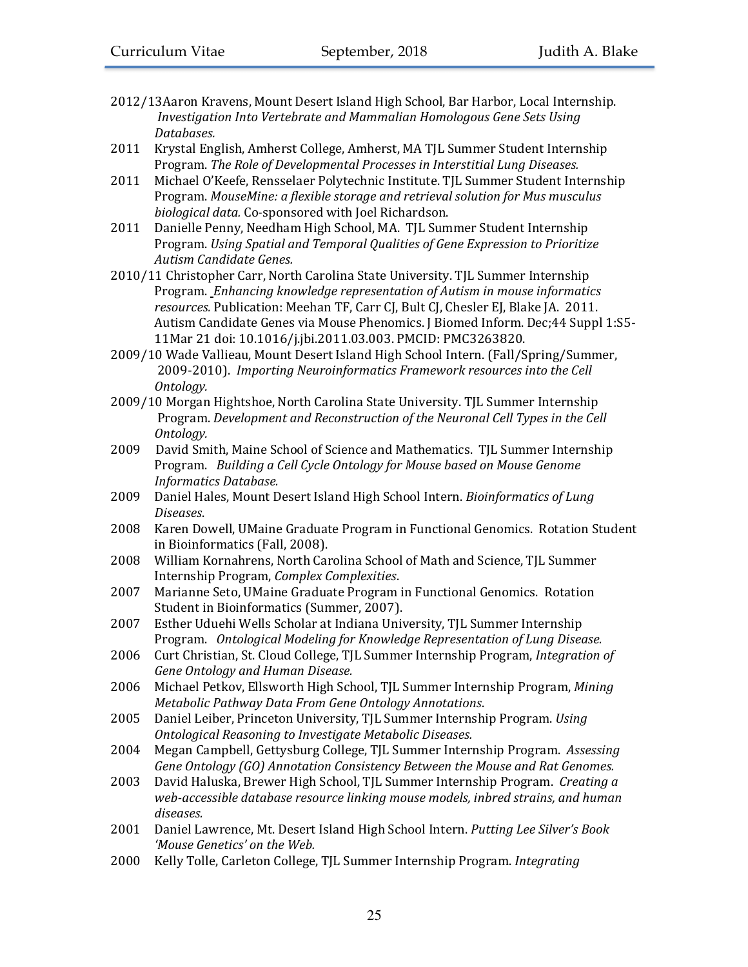- 2012/13Aaron Kravens, Mount Desert Island High School, Bar Harbor, Local Internship. *Investigation Into Vertebrate and Mammalian Homologous Gene Sets Using Databases.*
- 2011 Krystal English, Amherst College, Amherst, MA TJL Summer Student Internship Program. The Role of Developmental Processes in Interstitial Lung Diseases.
- 2011 Michael O'Keefe, Rensselaer Polytechnic Institute. TJL Summer Student Internship Program. MouseMine: a flexible storage and retrieval solution for Mus musculus *biological data.* Co-sponsored with Joel Richardson.
- 2011 Danielle Penny, Needham High School, MA. TJL Summer Student Internship Program. *Using Spatial and Temporal Qualities of Gene Expression to Prioritize Autism Candidate Genes.*
- 2010/11 Christopher Carr, North Carolina State University. TJL Summer Internship Program. *Enhancing knowledge representation of Autism in mouse informatics* resources. Publication: Meehan TF, Carr CJ, Bult CJ, Chesler EJ, Blake JA. 2011. Autism Candidate Genes via Mouse Phenomics. J Biomed Inform. Dec;44 Suppl 1:S5-11Mar 21 doi: 10.1016/j.jbi.2011.03.003. PMCID: PMC3263820.
- 2009/10 Wade Vallieau, Mount Desert Island High School Intern. (Fall/Spring/Summer, 2009-2010). *Importing Neuroinformatics Framework resources into the Cell Ontology.*
- 2009/10 Morgan Hightshoe, North Carolina State University. TJL Summer Internship Program. Development and Reconstruction of the Neuronal Cell Types in the Cell *Ontology.*
- 2009 David Smith, Maine School of Science and Mathematics. TJL Summer Internship Program. Building a Cell Cycle Ontology for Mouse based on Mouse Genome *Informatics Database.*
- 2009 Daniel Hales, Mount Desert Island High School Intern. *Bioinformatics of Lung Diseases*.
- 2008 Karen Dowell, UMaine Graduate Program in Functional Genomics. Rotation Student in Bioinformatics (Fall, 2008).
- 2008 William Kornahrens, North Carolina School of Math and Science, TJL Summer Internship Program, *Complex Complexities*.
- 2007 Marianne Seto, UMaine Graduate Program in Functional Genomics. Rotation Student in Bioinformatics (Summer, 2007).
- 2007 Esther Uduehi Wells Scholar at Indiana University, TJL Summer Internship Program. Ontological Modeling for Knowledge Representation of Lung Disease.
- 2006 Curt Christian, St. Cloud College, TJL Summer Internship Program, *Integration of Gene Ontology and Human Disease.*
- 2006 Michael Petkov, Ellsworth High School, TJL Summer Internship Program, *Mining Metabolic Pathway Data From Gene Ontology Annotations.*
- 2005 Daniel Leiber, Princeton University, TJL Summer Internship Program. *Using Ontological Reasoning to Investigate Metabolic Diseases.*
- 2004 Megan Campbell, Gettysburg College, TJL Summer Internship Program. *Assessing* Gene Ontology (GO) Annotation Consistency Between the Mouse and Rat Genomes.
- 2003 David Haluska, Brewer High School, TJL Summer Internship Program. *Creating a* web-accessible database resource linking mouse models, inbred strains, and human *diseases.*
- 2001 Daniel Lawrence, Mt. Desert Island High School Intern. Putting Lee Silver's Book 'Mouse Genetics' on the Web.
- 2000 Kelly Tolle, Carleton College, TJL Summer Internship Program. *Integrating*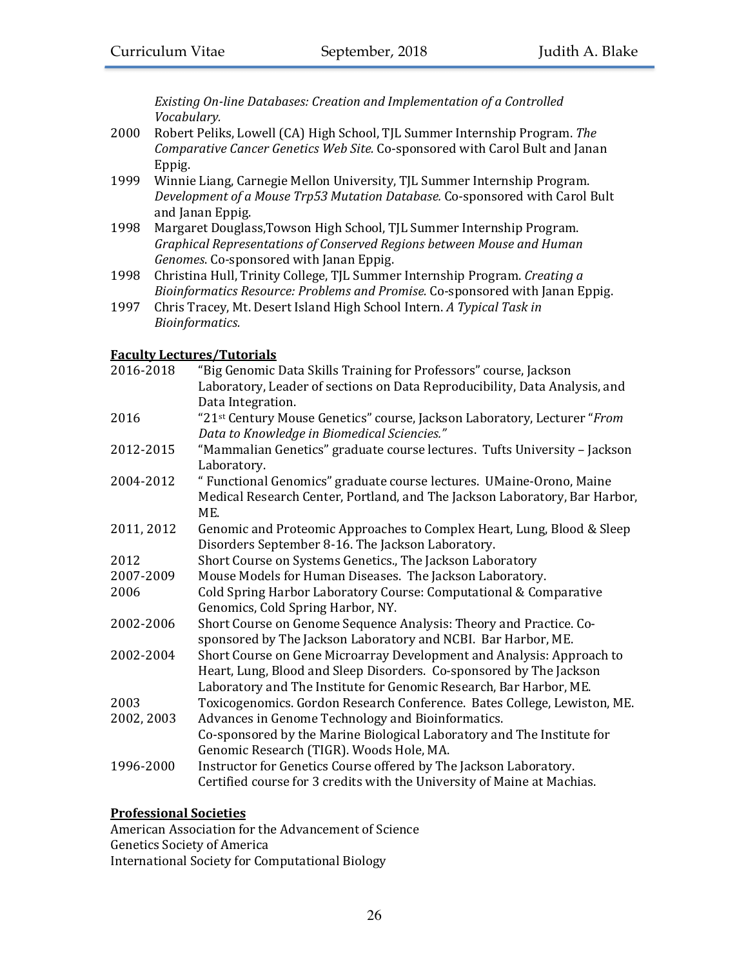**Existing On-line Databases: Creation and Implementation of a Controlled** *Vocabulary.*

- 2000 Robert Peliks, Lowell (CA) High School, TJL Summer Internship Program. The *Comparative Cancer Genetics Web Site.* Co-sponsored with Carol Bult and Janan Eppig.
- 1999 Winnie Liang, Carnegie Mellon University, TJL Summer Internship Program. *Development of a Mouse Trp53 Mutation Database.* Co-sponsored with Carol Bult and Janan Eppig.
- 1998 Margaret Douglass, Towson High School, TJL Summer Internship Program. *Graphical Representations of Conserved Regions between Mouse and Human*  Genomes. Co-sponsored with Janan Eppig.
- 1998 Christina Hull, Trinity College, TJL Summer Internship Program. *Creating a Bioinformatics Resource: Problems and Promise.* Co-sponsored with Janan Eppig.
- 1997 Chris Tracey, Mt. Desert Island High School Intern. *A Typical Task in Bioinformatics.*

# **Faculty Lectures/Tutorials**

| 2016-2018  | "Big Genomic Data Skills Training for Professors" course, Jackson          |
|------------|----------------------------------------------------------------------------|
|            | Laboratory, Leader of sections on Data Reproducibility, Data Analysis, and |
|            | Data Integration.                                                          |
| 2016       | "21st Century Mouse Genetics" course, Jackson Laboratory, Lecturer "From   |
|            | Data to Knowledge in Biomedical Sciencies."                                |
| 2012-2015  | "Mammalian Genetics" graduate course lectures. Tufts University - Jackson  |
|            | Laboratory.                                                                |
| 2004-2012  | " Functional Genomics" graduate course lectures. UMaine-Orono, Maine       |
|            | Medical Research Center, Portland, and The Jackson Laboratory, Bar Harbor, |
|            | ME.                                                                        |
| 2011, 2012 | Genomic and Proteomic Approaches to Complex Heart, Lung, Blood & Sleep     |
|            | Disorders September 8-16. The Jackson Laboratory.                          |
| 2012       | Short Course on Systems Genetics., The Jackson Laboratory                  |
| 2007-2009  | Mouse Models for Human Diseases. The Jackson Laboratory.                   |
| 2006       | Cold Spring Harbor Laboratory Course: Computational & Comparative          |
|            | Genomics, Cold Spring Harbor, NY.                                          |
| 2002-2006  | Short Course on Genome Sequence Analysis: Theory and Practice. Co-         |
|            | sponsored by The Jackson Laboratory and NCBI. Bar Harbor, ME.              |
| 2002-2004  | Short Course on Gene Microarray Development and Analysis: Approach to      |
|            | Heart, Lung, Blood and Sleep Disorders. Co-sponsored by The Jackson        |
|            | Laboratory and The Institute for Genomic Research, Bar Harbor, ME.         |
| 2003       | Toxicogenomics. Gordon Research Conference. Bates College, Lewiston, ME.   |
| 2002, 2003 | Advances in Genome Technology and Bioinformatics.                          |
|            | Co-sponsored by the Marine Biological Laboratory and The Institute for     |
|            | Genomic Research (TIGR). Woods Hole, MA.                                   |
| 1996-2000  | Instructor for Genetics Course offered by The Jackson Laboratory.          |
|            | Certified course for 3 credits with the University of Maine at Machias.    |

# **Professional Societies**

American Association for the Advancement of Science Genetics Society of America International Society for Computational Biology